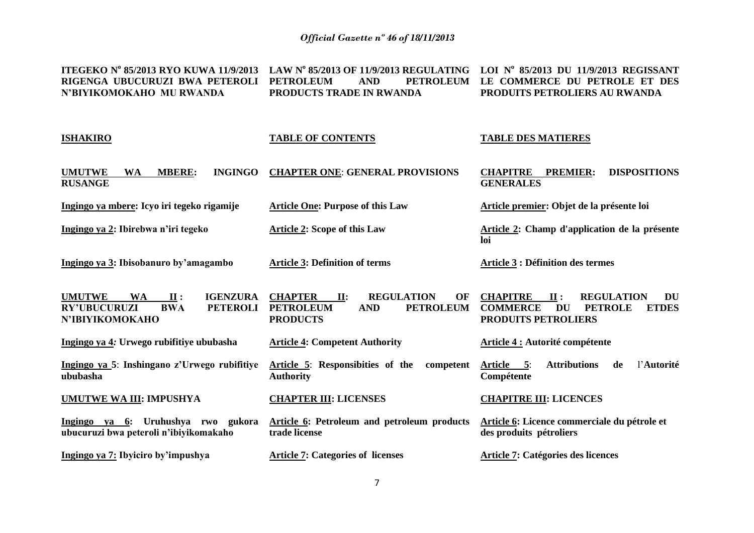**ITEGEKO N<sup>o</sup> 85/2013 RYO KUWA 11/9/2013 LAW N o 85/2013 OF 11/9/2013 REGULATING LOI N o 85/2013 DU 11/9/2013 REGISSANT RIGENGA UBUCURUZI BWA PETEROLI N'BIYIKOMOKAHO MU RWANDA PETROLEUM AND PETROLEUM LE COMMERCE DU PETROLE ET DES PRODUCTS TRADE IN RWANDA PRODUITS PETROLIERS AU RWANDA**

| <b>ISHAKIRO</b>                                                                                                                 | <b>TABLE OF CONTENTS</b>                                                                                                  | <b>TABLE DES MATIERES</b>                                                                                                                  |
|---------------------------------------------------------------------------------------------------------------------------------|---------------------------------------------------------------------------------------------------------------------------|--------------------------------------------------------------------------------------------------------------------------------------------|
| <b>UMUTWE</b><br><b>INGINGO</b><br><b>WA</b><br><b>MBERE:</b><br><b>RUSANGE</b>                                                 | <b>CHAPTER ONE: GENERAL PROVISIONS</b>                                                                                    | <b>DISPOSITIONS</b><br><b>CHAPITRE</b><br><b>PREMIER:</b><br><b>GENERALES</b>                                                              |
| Ingingo ya mbere: Icyo iri tegeko rigamije                                                                                      | <b>Article One: Purpose of this Law</b>                                                                                   | Article premier: Objet de la présente loi                                                                                                  |
| Ingingo ya 2: Ibirebwa n'iri tegeko                                                                                             | <b>Article 2: Scope of this Law</b>                                                                                       | Article 2: Champ d'application de la présente<br>loi                                                                                       |
| Ingingo ya 3: Ibisobanuro by'amagambo                                                                                           | <b>Article 3: Definition of terms</b>                                                                                     | <b>Article 3 : Définition des termes</b>                                                                                                   |
| <b>UMUTWE</b><br><b>IGENZURA</b><br><b>WA</b><br>II:<br><b>RY'UBUCURUZI</b><br><b>BWA</b><br><b>PETEROLI</b><br>N'IBIYIKOMOKAHO | <b>CHAPTER</b><br><b>REGULATION</b><br>II:<br>OF<br><b>PETROLEUM</b><br><b>AND</b><br><b>PETROLEUM</b><br><b>PRODUCTS</b> | <b>CHAPITRE</b><br><b>REGULATION</b><br>II:<br>DU<br><b>DU</b><br><b>PETROLE</b><br><b>ETDES</b><br><b>COMMERCE</b><br>PRODUITS PETROLIERS |
| Ingingo ya 4: Urwego rubifitiye ububasha                                                                                        | <b>Article 4: Competent Authority</b>                                                                                     | Article 4 : Autorité compétente                                                                                                            |
| Ingingo ya 5: Inshingano z'Urwego rubifitiye<br>ububasha                                                                        | Article 5: Responsibities of the<br>competent<br><b>Authority</b>                                                         | <b>Attributions</b><br>l'Autorité<br>Article 5:<br>de<br>Compétente                                                                        |
| <b>UMUTWE WA III: IMPUSHYA</b>                                                                                                  | <b>CHAPTER III: LICENSES</b>                                                                                              | <b>CHAPITRE III: LICENCES</b>                                                                                                              |
| Ingingo ya 6:<br>Uruhushya rwo gukora<br>ubucuruzi bwa peteroli n'ibiyikomakaho                                                 | <b>Article 6: Petroleum and petroleum products</b><br>trade license                                                       | Article 6: Licence commerciale du pétrole et<br>des produits pétroliers                                                                    |
| Ingingo ya 7: Ibyiciro by'impushya                                                                                              | <b>Article 7: Categories of licenses</b>                                                                                  | Article 7: Catégories des licences                                                                                                         |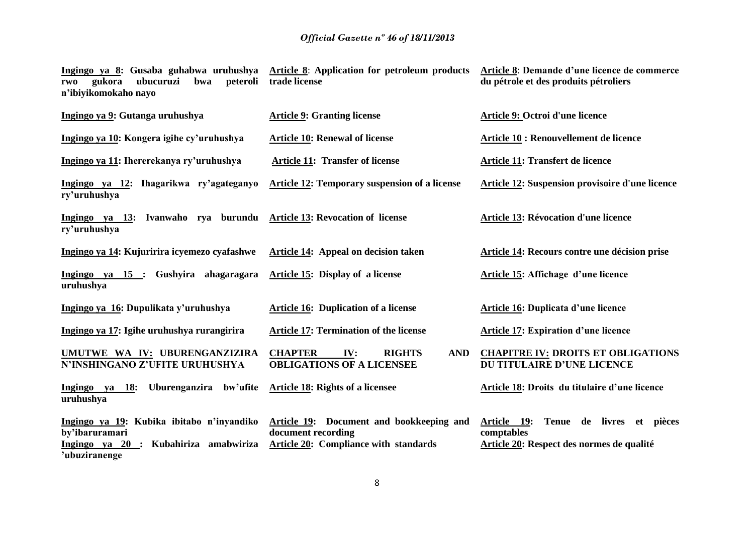| Ingingo ya 8: Gusaba guhabwa uruhushya<br>peteroli<br>gukora<br>ubucuruzi<br>bwa<br>rwo<br>n'ibiyikomokaho nayo            | <b>Article 8:</b> Application for petroleum products<br>trade license                                   | Article 8: Demande d'une licence de commerce<br>du pétrole et des produits pétroliers                      |
|----------------------------------------------------------------------------------------------------------------------------|---------------------------------------------------------------------------------------------------------|------------------------------------------------------------------------------------------------------------|
| Ingingo ya 9: Gutanga uruhushya                                                                                            | <b>Article 9: Granting license</b>                                                                      | Article 9: Octroi d'une licence                                                                            |
| Ingingo ya 10: Kongera igihe cy'uruhushya                                                                                  | <b>Article 10: Renewal of license</b>                                                                   | Article 10 : Renouvellement de licence                                                                     |
| Ingingo ya 11: Ihererekanya ry'uruhushya                                                                                   | <b>Article 11: Transfer of license</b>                                                                  | Article 11: Transfert de licence                                                                           |
| Ingingo ya 12: Ihagarikwa ry'agateganyo<br>ry'uruhushya                                                                    | <b>Article 12: Temporary suspension of a license</b>                                                    | <b>Article 12: Suspension provisoire d'une licence</b>                                                     |
| Ingingo ya 13: Ivanwaho rya burundu<br>ry'uruhushya                                                                        | <b>Article 13: Revocation of license</b>                                                                | Article 13: Révocation d'une licence                                                                       |
| Ingingo ya 14: Kujuririra icyemezo cyafashwe                                                                               | Article 14: Appeal on decision taken                                                                    | Article 14: Recours contre une décision prise                                                              |
| Ingingo ya 15 : Gushyira ahagaragara<br>uruhushya                                                                          | Article 15: Display of a license                                                                        | Article 15: Affichage d'une licence                                                                        |
| Ingingo ya 16: Dupulikata y'uruhushya                                                                                      | <b>Article 16: Duplication of a license</b>                                                             | <b>Article 16: Duplicata d'une licence</b>                                                                 |
| Ingingo ya 17: Igihe uruhushya rurangirira                                                                                 | <b>Article 17: Termination of the license</b>                                                           | <b>Article 17: Expiration d'une licence</b>                                                                |
| UMUTWE WA IV: UBURENGANZIZIRA<br>N'INSHINGANO Z'UFITE URUHUSHYA                                                            | <b>CHAPTER</b><br>IV:<br><b>RIGHTS</b><br><b>AND</b><br><b>OBLIGATIONS OF A LICENSEE</b>                | <b>CHAPITRE IV: DROITS ET OBLIGATIONS</b><br>DU TITULAIRE D'UNE LICENCE                                    |
| Uburenganzira bw'ufite<br>Ingingo ya 18:<br>uruhushya                                                                      | <b>Article 18: Rights of a licensee</b>                                                                 | <b>Article 18: Droits du titulaire d'une licence</b>                                                       |
| Ingingo ya 19: Kubika ibitabo n'inyandiko<br>by'ibaruramari<br>Kubahiriza amabwiriza<br>Ingingo ya $20$ :<br>'ubuziranenge | Article 19: Document and bookkeeping and<br>document recording<br>Article 20: Compliance with standards | Article 19:<br>Tenue de livres et pièces<br>comptables<br><b>Article 20: Respect des normes de qualité</b> |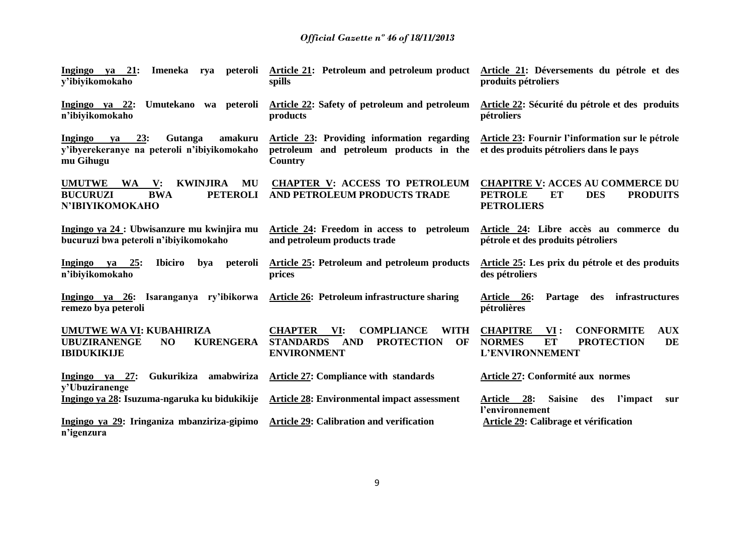| Ingingo ya 21:<br>Imeneka<br>rya peteroli<br>y'ibiyikomokaho                                                                                 | <b>Article 21:</b> Petroleum and petroleum product<br>spills                                                                                 | Article 21: Déversements du pétrole et des<br>produits pétroliers                                                              |
|----------------------------------------------------------------------------------------------------------------------------------------------|----------------------------------------------------------------------------------------------------------------------------------------------|--------------------------------------------------------------------------------------------------------------------------------|
| Ingingo ya 22:<br>Umutekano wa peteroli<br>n'ibiyikomokaho                                                                                   | Article 22: Safety of petroleum and petroleum<br>products                                                                                    | Article 22: Sécurité du pétrole et des produits<br>pétroliers                                                                  |
| 23:<br>amakuru<br>Ingingo<br>Gutanga<br>va<br>y'ibyerekeranye na peteroli n'ibiyikomokaho<br>mu Gihugu                                       | Article 23: Providing information regarding<br>petroleum and petroleum products in the<br>Country                                            | Article 23: Fournir l'information sur le pétrole<br>et des produits pétroliers dans le pays                                    |
| <b>UMUTWE</b><br><b>KWINJIRA</b><br>MU<br>$\mathbf{V}$ :<br><b>WA</b><br><b>PETEROLI</b><br><b>BUCURUZI</b><br><b>BWA</b><br>N'IBIYIKOMOKAHO | <b>CHAPTER V: ACCESS TO PETROLEUM</b><br>AND PETROLEUM PRODUCTS TRADE                                                                        | <b>CHAPITRE V: ACCES AU COMMERCE DU</b><br><b>PETROLE</b><br>ET<br><b>DES</b><br><b>PRODUITS</b><br><b>PETROLIERS</b>          |
| Ingingo ya 24 : Ubwisanzure mu kwinjira mu<br>bucuruzi bwa peteroli n'ibiyikomokaho                                                          | Article 24: Freedom in access to petroleum<br>and petroleum products trade                                                                   | Article 24: Libre accès au commerce du<br>pétrole et des produits pétroliers                                                   |
| Ingingo ya 25:<br><b>Ibiciro</b><br>peteroli<br>bya<br>n'ibiyikomokaho                                                                       | <b>Article 25: Petroleum and petroleum products</b><br>prices                                                                                | Article 25: Les prix du pétrole et des produits<br>des pétroliers                                                              |
| Ingingo ya 26: Isaranganya ry'ibikorwa<br>remezo bya peteroli                                                                                | Article 26: Petroleum infrastructure sharing                                                                                                 | infrastructures<br>Article 26:<br>Partage<br>des<br>pétrolières                                                                |
| UMUTWE WA VI: KUBAHIRIZA<br><b>UBUZIRANENGE</b><br><b>KURENGERA</b><br>N <sub>O</sub><br><b>IBIDUKIKIJE</b>                                  | <b>CHAPTER</b><br><b>COMPLIANCE</b><br><b>WITH</b><br>VI:<br><b>PROTECTION</b><br>OF<br><b>STANDARDS</b><br><b>AND</b><br><b>ENVIRONMENT</b> | <b>CONFORMITE</b><br><b>AUX</b><br><b>CHAPITRE</b><br>VI:<br>DE<br><b>NORMES</b><br>ET<br><b>PROTECTION</b><br>L'ENVIRONNEMENT |
| Gukurikiza<br>amabwiriza<br>Ingingo ya 27:<br>v'Ubuziranenge                                                                                 | <b>Article 27: Compliance with standards</b>                                                                                                 | Article 27: Conformité aux normes                                                                                              |
| Ingingo ya 28: Isuzuma-ngaruka ku bidukikije                                                                                                 | <b>Article 28: Environmental impact assessment</b>                                                                                           | Article 28:<br>l'impact<br><b>Saisine</b><br>des<br>sur<br>l'environnement                                                     |
| Ingingo ya 29: Iringaniza mbanziriza-gipimo<br>n'igenzura                                                                                    | <b>Article 29: Calibration and verification</b>                                                                                              | Article 29: Calibrage et vérification                                                                                          |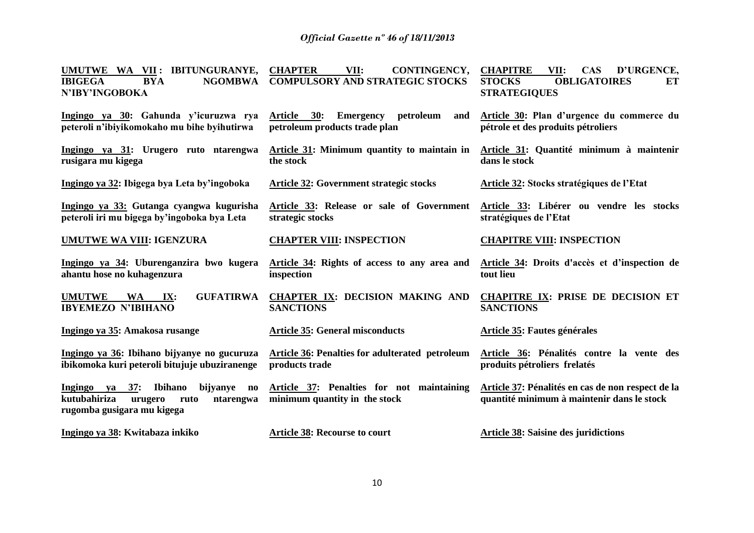| UMUTWE WA VII: IBITUNGURANYE,                                                                                                                        | <b>CHAPTER</b><br>VII:<br>CONTINGENCY,                                     | <b>CHAPITRE</b><br><b>CAS</b><br>D'URGENCE,<br>VII:                                             |
|------------------------------------------------------------------------------------------------------------------------------------------------------|----------------------------------------------------------------------------|-------------------------------------------------------------------------------------------------|
| <b>IBIGEGA</b><br><b>NGOMBWA</b><br><b>BYA</b><br>N'IBY'INGOBOKA                                                                                     | <b>COMPULSORY AND STRATEGIC STOCKS</b>                                     | <b>STOCKS</b><br><b>OBLIGATOIRES</b><br>ET<br><b>STRATEGIQUES</b>                               |
| Ingingo ya 30: Gahunda y'icuruzwa rya<br>peteroli n'ibiyikomokaho mu bihe byihutirwa                                                                 | Article 30: Emergency<br>petroleum<br>and<br>petroleum products trade plan | Article 30: Plan d'urgence du commerce du<br>pétrole et des produits pétroliers                 |
| Ingingo ya 31: Urugero ruto ntarengwa<br>rusigara mu kigega                                                                                          | Article 31: Minimum quantity to maintain in<br>the stock                   | Article 31: Quantité minimum à maintenir<br>dans le stock                                       |
| Ingingo ya 32: Ibigega bya Leta by'ingoboka                                                                                                          | <b>Article 32: Government strategic stocks</b>                             | <b>Article 32: Stocks stratégiques de l'Etat</b>                                                |
| Ingingo ya 33: Gutanga cyangwa kugurisha<br>peteroli iri mu bigega by'ingoboka bya Leta                                                              | Article 33: Release or sale of Government<br>strategic stocks              | Article 33: Libérer ou vendre les stocks<br>stratégiques de l'Etat                              |
| UMUTWE WA VIII: IGENZURA                                                                                                                             | <b>CHAPTER VIII: INSPECTION</b>                                            | <b>CHAPITRE VIII: INSPECTION</b>                                                                |
| Ingingo ya 34: Uburenganzira bwo kugera<br>ahantu hose no kuhagenzura                                                                                | Article 34: Rights of access to any area and<br>inspection                 | Article 34: Droits d'accès et d'inspection de<br>tout lieu                                      |
| <b>GUFATIRWA</b><br><b>UMUTWE</b><br><b>WA</b><br>IX:<br><b>IBYEMEZO N'IBIHANO</b>                                                                   | <b>CHAPTER IX: DECISION MAKING AND</b><br><b>SANCTIONS</b>                 | <b>CHAPITRE IX: PRISE DE DECISION ET</b><br><b>SANCTIONS</b>                                    |
| Ingingo ya 35: Amakosa rusange                                                                                                                       | <b>Article 35: General misconducts</b>                                     | Article 35: Fautes générales                                                                    |
| Ingingo ya 36: Ibihano bijyanye no gucuruza<br>ibikomoka kuri peteroli bitujuje ubuziranenge                                                         | <b>Article 36: Penalties for adulterated petroleum</b><br>products trade   | Article 36: Pénalités contre la vente des<br>produits pétroliers frelatés                       |
| Ingingo ya 37:<br><b>Ibihano</b><br>bijyanye<br>$\mathbf{n}\mathbf{o}$<br>kutubahiriza<br>urugero<br>ruto<br>ntarengwa<br>rugomba gusigara mu kigega | Article 37: Penalties for not maintaining<br>minimum quantity in the stock | Article 37: Pénalités en cas de non respect de la<br>quantité minimum à maintenir dans le stock |
| Ingingo ya 38: Kwitabaza inkiko                                                                                                                      | <b>Article 38: Recourse to court</b>                                       | <b>Article 38: Saisine des juridictions</b>                                                     |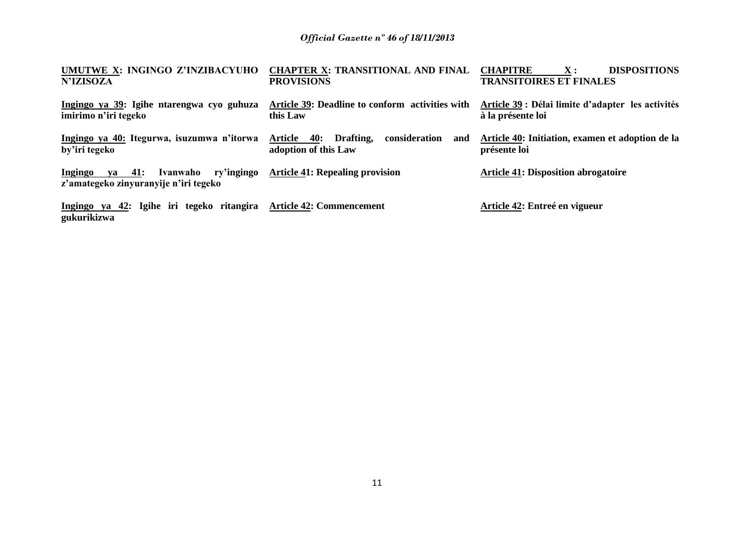| UMUTWE X: INGINGO Z'INZIBACYUHO<br><b>N'IZISOZA</b>                                  | <b>CHAPTER X: TRANSITIONAL AND FINAL</b><br><b>PROVISIONS</b>            | <b>DISPOSITIONS</b><br><b>CHAPITRE</b><br>$\mathbf{X}$ :<br><b>TRANSITOIRES ET FINALES</b> |
|--------------------------------------------------------------------------------------|--------------------------------------------------------------------------|--------------------------------------------------------------------------------------------|
| Ingingo ya 39: Igihe ntarengwa cyo guhuza<br>imirimo n'iri tegeko                    | Article 39: Deadline to conform activities with<br>this Law              | Article 39 : Délai limite d'adapter les activités<br>à la présente loi                     |
| Ingingo ya 40: Itegurwa, isuzumwa n'itorwa<br>by'iri tegeko                          | 40: Drafting,<br>consideration<br>Article<br>and<br>adoption of this Law | Article 40: Initiation, examen et adoption de la<br>présente loi                           |
| ry'ingingo<br>Ingingo<br>ya 41:<br>Ivanwaho<br>z'amategeko zinyuranyije n'iri tegeko | <b>Article 41: Repealing provision</b>                                   | <b>Article 41: Disposition abrogatoire</b>                                                 |
| Ingingo ya 42: Igihe iri tegeko ritangira<br>gukurikizwa                             | <b>Article 42: Commencement</b>                                          | Article 42: Entreé en vigueur                                                              |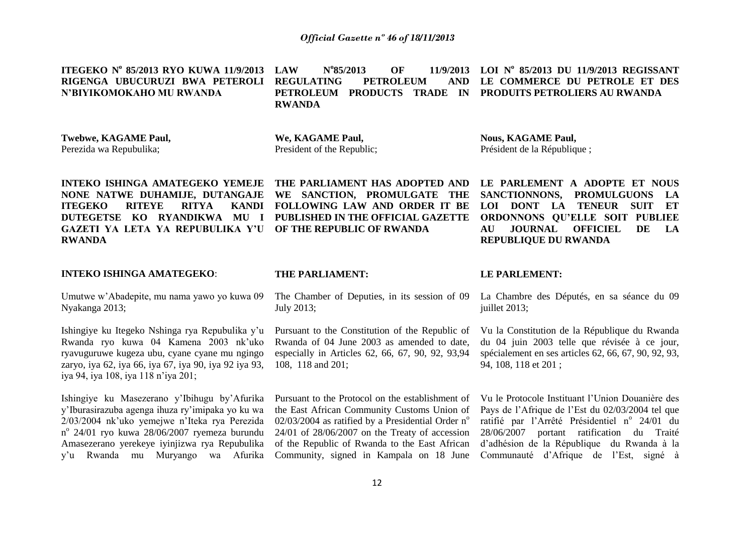**ITEGEKO N<sup>o</sup> 85/2013 RYO KUWA 11/9/2013 LAW N RIGENGA UBUCURUZI BWA PETEROLI REGULATING PETROLEUM AND N'BIYIKOMOKAHO MU RWANDA** N°85/2013 **85/2013 OF 11/9/2013 LOI N o 85/2013 DU 11/9/2013 REGISSANT PETROLEUM PRODUCTS TRADE IN PRODUITS PETROLIERS AU RWANDA RWANDA LE COMMERCE DU PETROLE ET DES** 

**Twebwe, KAGAME Paul,** Perezida wa Repubulika;

**We, KAGAME Paul,**  President of the Republic; **Nous, KAGAME Paul,** Président de la République ;

**INTEKO ISHINGA AMATEGEKO YEMEJE THE PARLIAMENT HAS ADOPTED AND NONE NATWE DUHAMIJE, DUTANGAJE WE SANCTION, PROMULGATE THE ITEGEKO RITEYE RITYA DUTEGETSE KO RYANDIKWA MU I PUBLISHED IN THE OFFICIAL GAZETTE GAZETI YA LETA YA REPUBULIKA Y'U OF THE REPUBLIC OF RWANDA RWANDA**

#### **INTEKO ISHINGA AMATEGEKO**:

Umutwe w'Abadepite, mu nama yawo yo kuwa 09 Nyakanga 2013;

Ishingiye ku Itegeko Nshinga rya Repubulika y'u Rwanda ryo kuwa 04 Kamena 2003 nk'uko ryavuguruwe kugeza ubu, cyane cyane mu ngingo zaryo, iya 62, iya 66, iya 67, iya 90, iya 92 iya 93, iya 94, iya 108, iya 118 n'iya 201;

Ishingiye ku Masezerano y'Ibihugu by'Afurika y'Iburasirazuba agenga ihuza ry'imipaka yo ku wa 2/03/2004 nk'uko yemejwe n'Iteka rya Perezida n o 24/01 ryo kuwa 28/06/2007 ryemeza burundu Amasezerano yerekeye iyinjizwa rya Repubulika y'u Rwanda mu Muryango wa Afurika

**FOLLOWING LAW AND ORDER IT BE** 

**AU JOURNAL OFFICIEL DE LA REPUBLIQUE DU RWANDA**

#### **THE PARLIAMENT:**

The Chamber of Deputies, in its session of 09 July 2013;

Pursuant to the Constitution of the Republic of Rwanda of 04 June 2003 as amended to date, especially in Articles 62, 66, 67, 90, 92, 93,94 108, 118 and 201;

Pursuant to the Protocol on the establishment of the East African Community Customs Union of  $02/03/2004$  as ratified by a Presidential Order n<sup>o</sup> 24/01 of 28/06/2007 on the Treaty of accession of the Republic of Rwanda to the East African Community, signed in Kampala on 18 June

#### **LE PARLEMENT:**

La Chambre des Députés, en sa séance du 09 juillet 2013;

**LE PARLEMENT A ADOPTE ET NOUS SANCTIONNONS, PROMULGUONS LA LOI DONT LA TENEUR SUIT ET ORDONNONS QU'ELLE SOIT PUBLIEE** 

Vu la Constitution de la République du Rwanda du 04 juin 2003 telle que révisée à ce jour, spécialement en ses articles 62, 66, 67, 90, 92, 93, 94, 108, 118 et 201 ;

Vu le Protocole Instituant l'Union Douanière des Pays de l'Afrique de l'Est du 02/03/2004 tel que ratifié par l'Arrêté Présidentiel nº 24/01 du 28/06/2007 portant ratification du Traité d'adhésion de la République du Rwanda à la Communauté d'Afrique de l'Est, signé à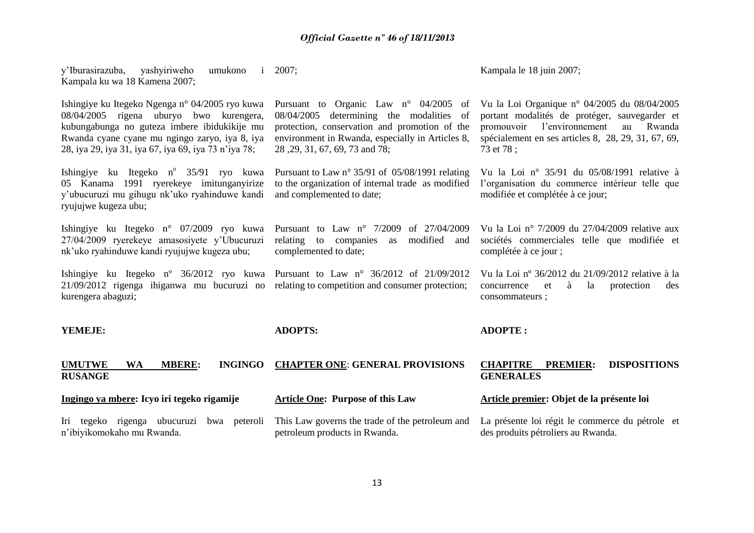| y'Iburasirazuba, yashyiriweho<br>umukono<br>$\mathbf{i}$<br>Kampala ku wa 18 Kamena 2007;                                                                                                                                                            | 2007;                                                                                                                                                                                                                                | Kampala le 18 juin 2007;                                                                                                                                                                                          |
|------------------------------------------------------------------------------------------------------------------------------------------------------------------------------------------------------------------------------------------------------|--------------------------------------------------------------------------------------------------------------------------------------------------------------------------------------------------------------------------------------|-------------------------------------------------------------------------------------------------------------------------------------------------------------------------------------------------------------------|
| Ishingiye ku Itegeko Ngenga n° 04/2005 ryo kuwa<br>08/04/2005 rigena uburyo bwo kurengera,<br>kubungabunga no guteza imbere ibidukikije mu<br>Rwanda cyane cyane mu ngingo zaryo, iya 8, iya<br>28, iya 29, iya 31, iya 67, iya 69, iya 73 n'iya 78; | Pursuant to Organic Law $n^{\circ}$ 04/2005<br>of<br>08/04/2005 determining the modalities of<br>protection, conservation and promotion of the<br>environment in Rwanda, especially in Articles 8,<br>28, 29, 31, 67, 69, 73 and 78; | Vu la Loi Organique nº 04/2005 du $08/04/2005$<br>portant modalités de protéger, sauvegarder et<br>promouvoir l'environnement<br>Rwanda<br>au<br>spécialement en ses articles 8, 28, 29, 31, 67, 69,<br>73 et 78; |
| Ishingiye ku Itegeko n° 35/91 ryo kuwa<br>05 Kanama 1991 ryerekeye imitunganyirize<br>y'ubucuruzi mu gihugu nk'uko ryahinduwe kandi<br>ryujujwe kugeza ubu;                                                                                          | Pursuant to Law n° 35/91 of 05/08/1991 relating<br>to the organization of internal trade as modified<br>and complemented to date;                                                                                                    | Vu la Loi nº 35/91 du 05/08/1991 relative à<br>l'organisation du commerce intérieur telle que<br>modifiée et complétée à ce jour;                                                                                 |
| Ishingiye ku Itegeko n° 07/2009 ryo kuwa<br>27/04/2009 ryerekeye amasosiyete y'Ubucuruzi<br>nk'uko ryahinduwe kandi ryujujwe kugeza ubu;                                                                                                             | Pursuant to Law $n^{\circ}$ 7/2009<br>of 27/04/2009<br>modified<br>relating to companies<br>as<br>and<br>complemented to date;                                                                                                       | Vu la Loi nº 7/2009 du $27/04/2009$ relative aux<br>sociétés commerciales telle que modifiée et<br>complétée à ce jour ;                                                                                          |
| Ishingiye ku Itegeko nº 36/2012 ryo kuwa Pursuant to Law nº 36/2012 of 21/09/2012<br>$21/09/2012$ rigenga ihiganwa mu bucuruzi no relating to competition and consumer protection;<br>kurengera abaguzi;                                             |                                                                                                                                                                                                                                      | Vu la Loi nº 36/2012 du 21/09/2012 relative à la<br>la<br>protection<br>concurrence<br>à<br>des<br>et<br>consommateurs;                                                                                           |
| YEMEJE:                                                                                                                                                                                                                                              | <b>ADOPTS:</b>                                                                                                                                                                                                                       | <b>ADOPTE:</b>                                                                                                                                                                                                    |
| <b>INGINGO</b><br><b>UMUTWE</b><br><b>WA</b><br><b>MBERE:</b><br><b>RUSANGE</b>                                                                                                                                                                      | <b>CHAPTER ONE: GENERAL PROVISIONS</b>                                                                                                                                                                                               | <b>CHAPITRE</b><br><b>DISPOSITIONS</b><br><b>PREMIER:</b><br><b>GENERALES</b>                                                                                                                                     |
| Ingingo ya mbere: Icyo iri tegeko rigamije                                                                                                                                                                                                           | <b>Article One: Purpose of this Law</b>                                                                                                                                                                                              | Article premier: Objet de la présente loi                                                                                                                                                                         |
| Iri tegeko rigenga ubucuruzi<br>bwa peteroli<br>n'ibiyikomokaho mu Rwanda.                                                                                                                                                                           | This Law governs the trade of the petroleum and<br>petroleum products in Rwanda.                                                                                                                                                     | La présente loi régit le commerce du pétrole et<br>des produits pétroliers au Rwanda.                                                                                                                             |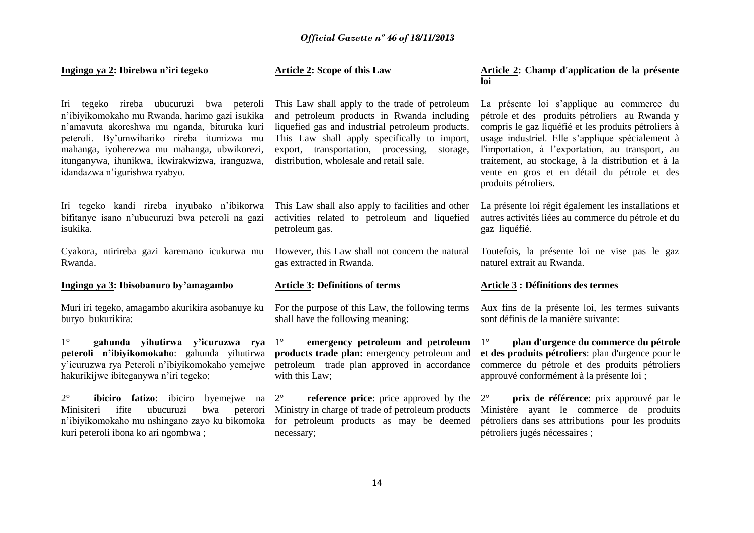| Ingingo ya 2: Ibirebwa n'iri tegeko                                                                                                                                                                                                                                                                                        | <b>Article 2: Scope of this Law</b>                                                                                                                                                                                                                                                             | Article 2: Champ d'application de la présente<br>loi                                                                                                                                                                                                                                                                                                                                      |
|----------------------------------------------------------------------------------------------------------------------------------------------------------------------------------------------------------------------------------------------------------------------------------------------------------------------------|-------------------------------------------------------------------------------------------------------------------------------------------------------------------------------------------------------------------------------------------------------------------------------------------------|-------------------------------------------------------------------------------------------------------------------------------------------------------------------------------------------------------------------------------------------------------------------------------------------------------------------------------------------------------------------------------------------|
| Iri tegeko rireba ubucuruzi bwa peteroli<br>n'ibiyikomokaho mu Rwanda, harimo gazi isukika<br>n'amavuta akoreshwa mu nganda, bituruka kuri<br>peteroli. By'umwihariko rireba itumizwa mu<br>mahanga, iyoherezwa mu mahanga, ubwikorezi,<br>itunganywa, ihunikwa, ikwirakwizwa, iranguzwa,<br>idandazwa n'igurishwa ryabyo. | This Law shall apply to the trade of petroleum<br>and petroleum products in Rwanda including<br>liquefied gas and industrial petroleum products.<br>This Law shall apply specifically to import,<br>export, transportation, processing,<br>storage,<br>distribution, wholesale and retail sale. | La présente loi s'applique au commerce du<br>pétrole et des produits pétroliers au Rwanda y<br>compris le gaz liquéfié et les produits pétroliers à<br>usage industriel. Elle s'applique spécialement à<br>l'importation, à l'exportation, au transport, au<br>traitement, au stockage, à la distribution et à la<br>vente en gros et en détail du pétrole et des<br>produits pétroliers. |
| Iri tegeko kandi rireba inyubako n'ibikorwa<br>bifitanye isano n'ubucuruzi bwa peteroli na gazi<br>isukika.                                                                                                                                                                                                                | This Law shall also apply to facilities and other<br>activities related to petroleum and liquefied<br>petroleum gas.                                                                                                                                                                            | La présente loi régit également les installations et<br>autres activités liées au commerce du pétrole et du<br>gaz liquéfié.                                                                                                                                                                                                                                                              |
| Cyakora, ntirireba gazi karemano icukurwa mu<br>Rwanda.                                                                                                                                                                                                                                                                    | However, this Law shall not concern the natural<br>gas extracted in Rwanda.                                                                                                                                                                                                                     | Toutefois, la présente loi ne vise pas le gaz<br>naturel extrait au Rwanda.                                                                                                                                                                                                                                                                                                               |
|                                                                                                                                                                                                                                                                                                                            |                                                                                                                                                                                                                                                                                                 |                                                                                                                                                                                                                                                                                                                                                                                           |
| Ingingo ya 3: Ibisobanuro by'amagambo                                                                                                                                                                                                                                                                                      | <b>Article 3: Definitions of terms</b>                                                                                                                                                                                                                                                          | <b>Article 3 : Définitions des termes</b>                                                                                                                                                                                                                                                                                                                                                 |
| Muri iri tegeko, amagambo akurikira asobanuye ku<br>buryo bukurikira:                                                                                                                                                                                                                                                      | For the purpose of this Law, the following terms<br>shall have the following meaning:                                                                                                                                                                                                           | Aux fins de la présente loi, les termes suivants<br>sont définis de la manière suivante:                                                                                                                                                                                                                                                                                                  |
| $1^{\circ}$<br>gahunda yihutirwa y'icuruzwa rya<br>peteroli n'ibiyikomokaho: gahunda yihutirwa<br>y'icuruzwa rya Peteroli n'ibiyikomokaho yemejwe<br>hakurikijwe ibiteganywa n'iri tegeko;                                                                                                                                 | $1^{\circ}$<br>emergency petroleum and petroleum<br>products trade plan: emergency petroleum and<br>petroleum trade plan approved in accordance<br>with this Law;                                                                                                                               | plan d'urgence du commerce du pétrole<br>$1^{\circ}$<br>et des produits pétroliers: plan d'urgence pour le<br>commerce du pétrole et des produits pétroliers<br>approuvé conformément à la présente loi ;                                                                                                                                                                                 |
| $2^{\circ}$<br><b>ibiciro fatizo</b> : ibiciro byemejwe na $2^{\circ}$<br>ifite<br>ubucuruzi<br>bwa<br>peterori<br>Minisiteri<br>n'ibiyikomokaho mu nshingano zayo ku bikomoka<br>kuri peteroli ibona ko ari ngombwa;                                                                                                      | <b>reference price:</b> price approved by the<br>Ministry in charge of trade of petroleum products<br>for petroleum products as may be deemed<br>necessary;                                                                                                                                     | prix de référence: prix approuvé par le<br>$2^{\circ}$<br>Ministère ayant le commerce de produits<br>pétroliers dans ses attributions pour les produits<br>pétroliers jugés nécessaires;                                                                                                                                                                                                  |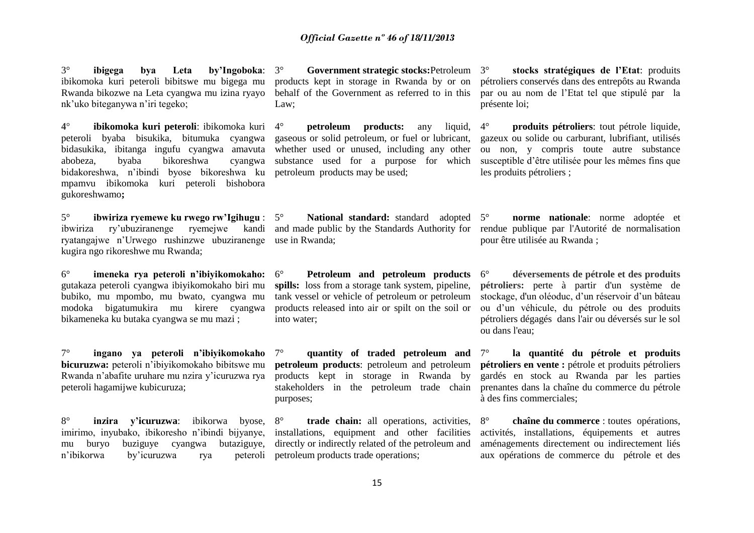3° **ibigega bya Leta by'Ingoboka**: ibikomoka kuri peteroli bibitswe mu bigega mu Rwanda bikozwe na Leta cyangwa mu izina ryayo nk'uko biteganywa n'iri tegeko;

**4° ibikomoka kuri peteroli**: ibikomoka kuri peteroli byaba bisukika, bitumuka cyangwa bidasukika, ibitanga ingufu cyangwa amavuta abobeza, byaba bikoreshwa cyangwa bidakoreshwa, n'ibindi byose bikoreshwa ku mpamvu ibikomoka kuri peteroli bishobora gukoreshwamo**;**

5° **ibwiriza ryemewe ku rwego rw'Igihugu** : ibwiriza ry'ubuziranenge ryemejwe kandi ryatangajwe n'Urwego rushinzwe ubuziranenge use in Rwanda; kugira ngo rikoreshwe mu Rwanda;

6° **imeneka rya peteroli n'ibiyikomokaho:**  gutakaza peteroli cyangwa ibiyikomokaho biri mu bubiko, mu mpombo, mu bwato, cyangwa mu modoka bigatumukira mu kirere cyangwa bikameneka ku butaka cyangwa se mu mazi ;

7° **ingano ya peteroli n'ibiyikomokaho bicuruzwa:** peteroli n'ibiyikomokaho bibitswe mu Rwanda n'abafite uruhare mu nzira y'icuruzwa rya peteroli hagamijwe kubicuruza;

8° **inzira y'icuruzwa**: ibikorwa byose, imirimo, inyubako, ibikoresho n'ibindi bijyanye, mu buryo buziguye cyangwa butaziguye, n'ibikorwa by'icuruzwa rya peteroli

3° **Government strategic stocks:**Petroleum products kept in storage in Rwanda by or on behalf of the Government as referred to in this Law;

4° **petroleum products:** any liquid, gaseous or solid petroleum, or fuel or lubricant, whether used or unused, including any other substance used for a purpose for which petroleum products may be used;

National standard: standard adopted 5° and made public by the Standards Authority for

6° **Petroleum and petroleum products**  spills: loss from a storage tank system, pipeline, tank vessel or vehicle of petroleum or petroleum products released into air or spilt on the soil or into water;

7° **quantity of traded petroleum and petroleum products**: petroleum and petroleum products kept in storage in Rwanda by stakeholders in the petroleum trade chain purposes;

8° **trade chain:** all operations, activities, installations, equipment and other facilities directly or indirectly related of the petroleum and petroleum products trade operations;

3° **stocks stratégiques de l'Etat**: produits pétroliers conservés dans des entrepôts au Rwanda par ou au nom de l'Etat tel que stipulé par la présente loi;

4° **produits pétroliers**: tout pétrole liquide, gazeux ou solide ou carburant, lubrifiant, utilisés ou non, y compris toute autre substance susceptible d'être utilisée pour les mêmes fins que les produits pétroliers ;

**norme nationale**: norme adoptée et rendue publique par l'Autorité de normalisation pour être utilisée au Rwanda ;

6° **déversements de pétrole et des produits pétroliers:** perte à partir d'un système de stockage, d'un oléoduc, d'un réservoir d'un bâteau ou d'un véhicule, du pétrole ou des produits pétroliers dégagés dans l'air ou déversés sur le sol ou dans l'eau;

7° **la quantité du pétrole et produits pétroliers en vente :** pétrole et produits pétroliers gardés en stock au Rwanda par les parties prenantes dans la chaîne du commerce du pétrole à des fins commerciales;

8° **chaîne du commerce** : toutes opérations, activités, installations, équipements et autres aménagements directement ou indirectement liés aux opérations de commerce du pétrole et des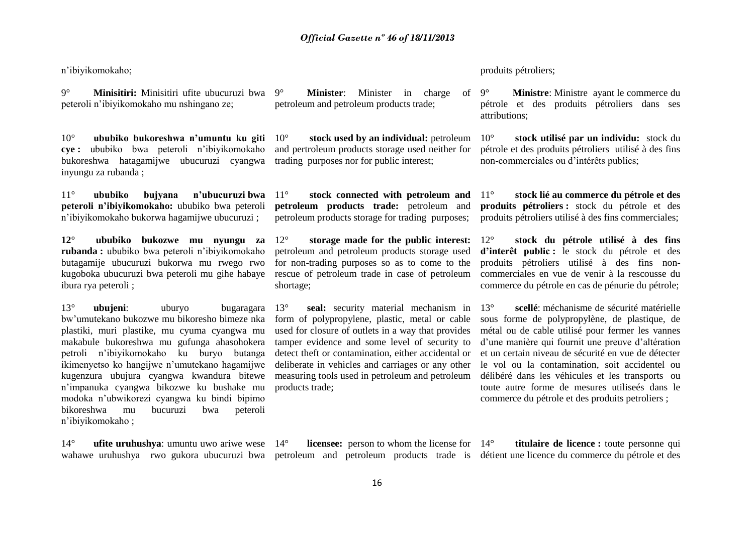n'ibiyikomokaho;

9° **Minisitiri:** Minisitiri ufite ubucuruzi bwa peteroli n'ibiyikomokaho mu nshingano ze;

10° **ububiko bukoreshwa n'umuntu ku giti cye :** ububiko bwa peteroli n'ibiyikomokaho bukoreshwa hatagamijwe ubucuruzi cyangwa inyungu za rubanda ;

11° **ububiko bujyana n'ubucuruzi bwa peteroli n'ibiyikomokaho:** ububiko bwa peteroli n'ibiyikomokaho bukorwa hagamijwe ubucuruzi ;

**12° ububiko bukozwe mu nyungu za rubanda :** ububiko bwa peteroli n'ibiyikomokaho butagamije ubucuruzi bukorwa mu rwego rwo kugoboka ubucuruzi bwa peteroli mu gihe habaye ibura rya peteroli ;

13° **ubujeni**: uburyo bugaragara bw'umutekano bukozwe mu bikoresho bimeze nka plastiki, muri plastike, mu cyuma cyangwa mu makabule bukoreshwa mu gufunga ahasohokera petroli n'ibiyikomokaho ku buryo butanga ikimenyetso ko hangijwe n'umutekano hagamijwe kugenzura ubujura cyangwa kwandura bitewe n'impanuka cyangwa bikozwe ku bushake mu modoka n'ubwikorezi cyangwa ku bindi bipimo bikoreshwa mu bucuruzi bwa peteroli n'ibiyikomokaho ;

14° **ufite uruhushya**: umuntu uwo ariwe wese 14°

9° **Minister**: Minister in charge of petroleum and petroleum products trade;

10° **stock used by an individual:** petroleum and pertroleum products storage used neither for trading purposes nor for public interest;

stock connected with petroleum and **petroleum products trade:** petroleum and petroleum products storage for trading purposes;

12° **storage made for the public interest:**  petroleum and petroleum products storage used for non-trading purposes so as to come to the rescue of petroleum trade in case of petroleum shortage;

13° **seal:** security material mechanism in form of polypropylene, plastic, metal or cable used for closure of outlets in a way that provides tamper evidence and some level of security to detect theft or contamination, either accidental or deliberate in vehicles and carriages or any other measuring tools used in petroleum and petroleum products trade;

produits pétroliers;

**Ministre**: Ministre ayant le commerce du pétrole et des produits pétroliers dans ses attributions;

10° **stock utilisé par un individu:** stock du pétrole et des produits pétroliers utilisé à des fins non-commerciales ou d'intérêts publics;

11° **stock lié au commerce du pétrole et des produits pétroliers :** stock du pétrole et des produits pétroliers utilisé à des fins commerciales;

12° **stock du pétrole utilisé à des fins d'interêt public :** le stock du pétrole et des produits pétroliers utilisé à des fins noncommerciales en vue de venir à la rescousse du commerce du pétrole en cas de pénurie du pétrole;

13° **scellé**: méchanisme de sécurité matérielle sous forme de polypropylène, de plastique, de métal ou de cable utilisé pour fermer les vannes d'une manière qui fournit une preuve d'altération et un certain niveau de sécurité en vue de détecter le vol ou la contamination, soit accidentel ou délibéré dans les véhicules et les transports ou toute autre forme de mesures utiliseés dans le commerce du pétrole et des produits petroliers ;

wahawe uruhushya rwo gukora ubucuruzi bwa petroleum and petroleum products trade is détient une licence du commerce du pétrole et des **licensee:** person to whom the license for 14<sup>°</sup>

**titulaire de licence** : toute personne qui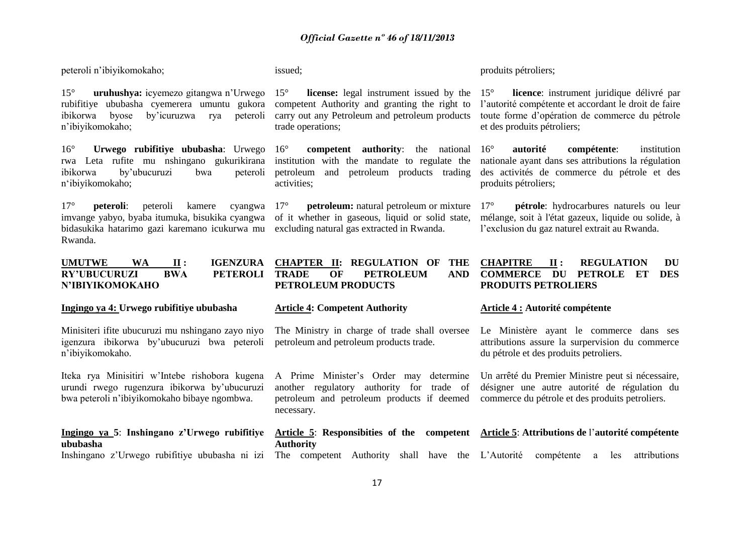peteroli n'ibiyikomokaho;

15° **uruhushya:** icyemezo gitangwa n'Urwego rubifitiye ububasha cyemerera umuntu gukora ibikorwa byose by'icuruzwa rya peteroli n'ibiyikomokaho;

16° **Urwego rubifitiye ububasha**: Urwego rwa Leta rufite mu nshingano gukurikirana ibikorwa by'ubucuruzi bwa peteroli n'ibiyikomokaho;

17° **peteroli**: peteroli kamere cyangwa imvange yabyo, byaba itumuka, bisukika cyangwa of it whether in gaseous, liquid or solid state, bidasukika hatarimo gazi karemano icukurwa mu excluding natural gas extracted in Rwanda. Rwanda.

#### **UMUTWE WA II : IGENZURA RY'UBUCURUZI BWA PETEROLI N'IBIYIKOMOKAHO**

#### **Ingingo ya 4: Urwego rubifitiye ububasha**

Minisiteri ifite ubucuruzi mu nshingano zayo niyo igenzura ibikorwa by'ubucuruzi bwa peteroli n'ibiyikomokaho.

Iteka rya Minisitiri w'Intebe rishobora kugena urundi rwego rugenzura ibikorwa by'ubucuruzi bwa peteroli n'ibiyikomokaho bibaye ngombwa.

## **Ingingo ya 5**: **Inshingano z'Urwego rubifitiye ububasha**

issued;

**license:** legal instrument issued by the 15° competent Authority and granting the right to carry out any Petroleum and petroleum products trade operations;

16° **competent authority**: the national institution with the mandate to regulate the petroleum and petroleum products trading activities;

**petroleum:** natural petroleum or mixture

The Ministry in charge of trade shall oversee

A Prime Minister's Order may determine another regulatory authority for trade of petroleum and petroleum products if deemed

**PETROLEUM PRODUCTS**

necessary.

**Article 4: Competent Authority**

petroleum and petroleum products trade.

#### produits pétroliers;

licence: instrument juridique délivré par l'autorité compétente et accordant le droit de faire toute forme d'opération de commerce du pétrole et des produits pétroliers;

16° **autorité compétente**: institution nationale ayant dans ses attributions la régulation des activités de commerce du pétrole et des produits pétroliers;

17° **pétrole**: hydrocarbures naturels ou leur mélange, soit à l'état gazeux, liquide ou solide, à l'exclusion du gaz naturel extrait au Rwanda.

#### **CHAPTER II: REGULATION OF THE OF PETROLEUM AND CHAPITRE II : REGULATION DU COMMERCE DU PETROLE ET DES PRODUITS PETROLIERS**

#### **Article 4 : Autorité compétente**

Le Ministère ayant le commerce dans ses attributions assure la surpervision du commerce du pétrole et des produits petroliers.

Un arrêté du Premier Ministre peut si nécessaire, désigner une autre autorité de régulation du commerce du pétrole et des produits petroliers.

# **Article 5**: **Responsibities of the competent Article 5**: **Attributions de** l'**autorité compétente**

Inshingano z'Urwego rubifitiye ububasha ni izi The competent Authority shall have the L'Autorité compétente a les attributions **Authority**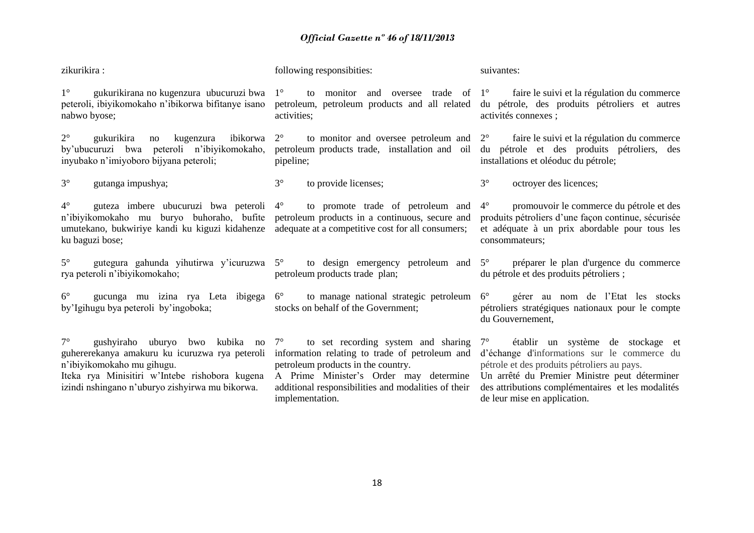| zikurikira:                                                                                                                                                                                                                    | following responsibities:                                                                                                                                                                                                                                                                               | suivantes:                                                                                                                                                                                                                                                            |
|--------------------------------------------------------------------------------------------------------------------------------------------------------------------------------------------------------------------------------|---------------------------------------------------------------------------------------------------------------------------------------------------------------------------------------------------------------------------------------------------------------------------------------------------------|-----------------------------------------------------------------------------------------------------------------------------------------------------------------------------------------------------------------------------------------------------------------------|
| $1^{\circ}$<br>peteroli, ibiyikomokaho n'ibikorwa bifitanye isano<br>nabwo byose;                                                                                                                                              | gukurikirana no kugenzura ubucuruzi bwa $1^{\circ}$ to monitor and oversee trade of $1^{\circ}$ faire le suivi et la régulation du commerce<br>activities;                                                                                                                                              | petroleum, petroleum products and all related du pétrole, des produits pétroliers et autres<br>activités connexes ;                                                                                                                                                   |
| $2^{\circ}$<br>gukurikira<br>no<br>by'ubucuruzi bwa peteroli n'ibiyikomokaho,<br>inyubako n'imiyoboro bijyana peteroli;                                                                                                        | kugenzura ibikorwa $2^{\circ}$ to monitor and oversee petroleum and $2^{\circ}$ faire le suivi et la régulation du commerce<br>pipeline;                                                                                                                                                                | petroleum products trade, installation and oil du pétrole et des produits pétroliers, des<br>installations et oléoduc du pétrole;                                                                                                                                     |
| $3^\circ$<br>gutanga impushya;                                                                                                                                                                                                 | $3^\circ$<br>to provide licenses;                                                                                                                                                                                                                                                                       | $3^\circ$<br>octroyer des licences;                                                                                                                                                                                                                                   |
| $4^{\circ}$<br>n'ibiyikomokaho mu buryo buhoraho, bufite petroleum products in a continuous, secure and<br>umutekano, bukwiriye kandi ku kiguzi kidahenze adequate at a competitive cost for all consumers;<br>ku baguzi bose; | guteza imbere ubucuruzi bwa peteroli 4 <sup>°</sup> to promote trade of petroleum and                                                                                                                                                                                                                   | promouvoir le commerce du pétrole et des<br>$4^{\circ}$<br>produits pétroliers d'une façon continue, sécurisée<br>et adéquate à un prix abordable pour tous les<br>consommateurs;                                                                                     |
| $5^{\circ}$<br>rya peteroli n'ibiyikomokaho;                                                                                                                                                                                   | petroleum products trade plan;                                                                                                                                                                                                                                                                          | gutegura gahunda yihutirwa y'icuruzwa 5° to design emergency petroleum and 5° préparer le plan d'urgence du commerce<br>du pétrole et des produits pétroliers ;                                                                                                       |
| $6^{\circ}$<br>gucunga mu izina rya Leta ibigega 6°<br>by'Igihugu bya peteroli by'ingoboka;                                                                                                                                    | to manage national strategic petroleum $6^{\circ}$<br>stocks on behalf of the Government;                                                                                                                                                                                                               | gérer au nom de l'Etat les stocks<br>pétroliers stratégiques nationaux pour le compte<br>du Gouvernement,                                                                                                                                                             |
| $7^{\circ}$<br>guhererekanya amakuru ku icuruzwa rya peteroli<br>n'ibiyikomokaho mu gihugu.<br>Iteka rya Minisitiri w'Intebe rishobora kugena<br>izindi nshingano n'uburyo zishyirwa mu bikorwa.                               | gushyiraho uburyo bwo kubika no $7^{\circ}$ to set recording system and sharing $7^{\circ}$<br>information relating to trade of petroleum and<br>petroleum products in the country.<br>A Prime Minister's Order may determine<br>additional responsibilities and modalities of their<br>implementation. | établir un système de stockage et<br>d'échange d'informations sur le commerce du<br>pétrole et des produits pétroliers au pays.<br>Un arrêté du Premier Ministre peut déterminer<br>des attributions complémentaires et les modalités<br>de leur mise en application. |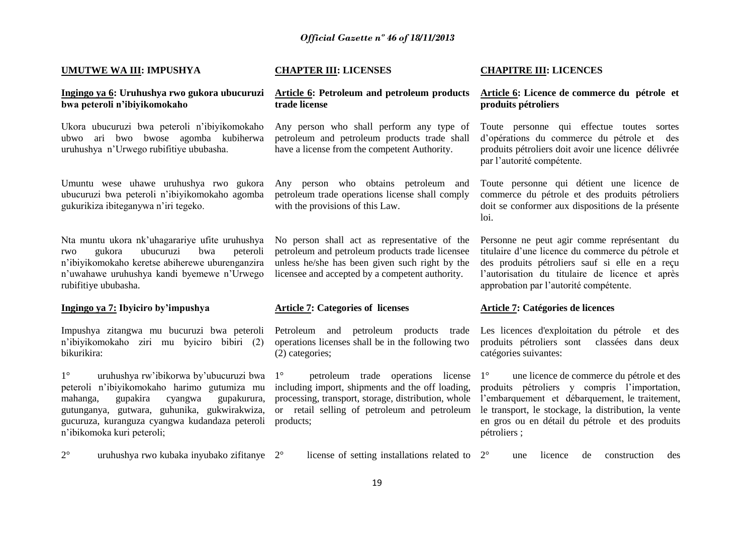#### **UMUTWE WA III: IMPUSHYA**

#### **Ingingo ya 6: Uruhushya rwo gukora ubucuruzi Article 6: Petroleum and petroleum products bwa peteroli n'ibiyikomokaho**

Ukora ubucuruzi bwa peteroli n'ibiyikomokaho ubwo ari bwo bwose agomba kubiherwa uruhushya n'Urwego rubifitiye ububasha.

Umuntu wese uhawe uruhushya rwo gukora ubucuruzi bwa peteroli n'ibiyikomokaho agomba gukurikiza ibiteganywa n'iri tegeko.

Nta muntu ukora nk'uhagarariye ufite uruhushya rwo gukora ubucuruzi bwa peteroli n'ibiyikomokaho keretse abiherewe uburenganzira n'uwahawe uruhushya kandi byemewe n'Urwego rubifitiye ububasha.

#### **Ingingo ya 7: Ibyiciro by'impushya**

Impushya zitangwa mu bucuruzi bwa peteroli n'ibiyikomokaho ziri mu byiciro bibiri (2) bikurikira:

1° uruhushya rw'ibikorwa by'ubucuruzi bwa peteroli n'ibiyikomokaho harimo gutumiza mu mahanga, gupakira cyangwa gupakurura, gutunganya, gutwara, guhunika, gukwirakwiza, gucuruza, kuranguza cyangwa kudandaza peteroli n'ibikomoka kuri peteroli;

#### **CHAPTER III: LICENSES**

# **trade license**

Any person who shall perform any type of petroleum and petroleum products trade shall have a license from the competent Authority.

Any person who obtains petroleum and petroleum trade operations license shall comply with the provisions of this Law.

No person shall act as representative of the petroleum and petroleum products trade licensee unless he/she has been given such right by the licensee and accepted by a competent authority.

#### **Article 7: Categories of licenses**

Petroleum and petroleum products trade operations licenses shall be in the following two (2) categories;

1° petroleum trade operations license including import, shipments and the off loading, processing, transport, storage, distribution, whole or retail selling of petroleum and petroleum products;

#### **CHAPITRE III: LICENCES**

#### **Article 6: Licence de commerce du pétrole et produits pétroliers**

Toute personne qui effectue toutes sortes d'opérations du commerce du pétrole et des produits pétroliers doit avoir une licence délivrée par l'autorité compétente.

Toute personne qui détient une licence de commerce du pétrole et des produits pétroliers doit se conformer aux dispositions de la présente loi.

Personne ne peut agir comme représentant du titulaire d'une licence du commerce du pétrole et des produits pétroliers sauf si elle en a reçu l'autorisation du titulaire de licence et après approbation par l'autorité compétente.

#### **Article 7: Catégories de licences**

Les licences d'exploitation du pétrole et des produits pétroliers sont classées dans deux catégories suivantes:

1° une licence de commerce du pétrole et des produits pétroliers y compris l'importation, l'embarquement et débarquement, le traitement, le transport, le stockage, la distribution, la vente en gros ou en détail du pétrole et des produits pétroliers ;

2° uruhushya rwo kubaka inyubako zifitanye

license of setting installations related to 2° 2° une licence de construction des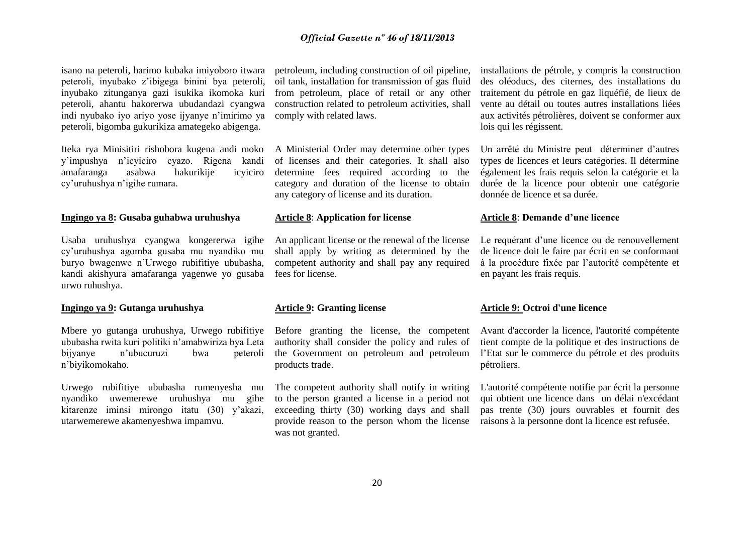isano na peteroli, harimo kubaka imiyoboro itwara peteroli, inyubako z'ibigega binini bya peteroli, inyubako zitunganya gazi isukika ikomoka kuri peteroli, ahantu hakorerwa ubudandazi cyangwa indi nyubako iyo ariyo yose ijyanye n'imirimo ya peteroli, bigomba gukurikiza amategeko abigenga.

Iteka rya Minisitiri rishobora kugena andi moko y'impushya n'icyiciro cyazo. Rigena kandi amafaranga asabwa hakurikije icyiciro cy'uruhushya n'igihe rumara.

#### **Ingingo ya 8: Gusaba guhabwa uruhushya**

Usaba uruhushya cyangwa kongererwa igihe cy'uruhushya agomba gusaba mu nyandiko mu buryo bwagenwe n'Urwego rubifitiye ububasha, kandi akishyura amafaranga yagenwe yo gusaba urwo ruhushya.

#### **Ingingo ya 9: Gutanga uruhushya**

Mbere yo gutanga uruhushya, Urwego rubifitiye ububasha rwita kuri politiki n'amabwiriza bya Leta bijyanye n'ubucuruzi bwa peteroli n'biyikomokaho.

Urwego rubifitiye ububasha rumenyesha mu nyandiko uwemerewe uruhushya mu gihe kitarenze iminsi mirongo itatu (30) y'akazi, utarwemerewe akamenyeshwa impamvu.

petroleum, including construction of oil pipeline, oil tank, installation for transmission of gas fluid from petroleum, place of retail or any other construction related to petroleum activities, shall comply with related laws.

A Ministerial Order may determine other types of licenses and their categories. It shall also determine fees required according to the category and duration of the license to obtain any category of license and its duration.

#### **Article 8**: **Application for license**

An applicant license or the renewal of the license shall apply by writing as determined by the competent authority and shall pay any required fees for license.

#### **Article 9: Granting license**

Before granting the license, the competent authority shall consider the policy and rules of the Government on petroleum and petroleum products trade.

The competent authority shall notify in writing to the person granted a license in a period not exceeding thirty (30) working days and shall provide reason to the person whom the license was not granted.

installations de pétrole, y compris la construction des oléoducs, des citernes, des installations du traitement du pétrole en gaz liquéfié, de lieux de vente au détail ou toutes autres installations liées aux activités pétrolières, doivent se conformer aux lois qui les régissent.

Un arrêté du Ministre peut déterminer d'autres types de licences et leurs catégories. Il détermine également les frais requis selon la catégorie et la durée de la licence pour obtenir une catégorie donnée de licence et sa durée.

#### **Article 8**: **Demande d'une licence**

Le requérant d'une licence ou de renouvellement de licence doit le faire par écrit en se conformant à la procédure fixée par l'autorité compétente et en payant les frais requis.

#### **Article 9: Octroi d'une licence**

Avant d'accorder la licence, l'autorité compétente tient compte de la politique et des instructions de l'Etat sur le commerce du pétrole et des produits pétroliers.

L'autorité compétente notifie par écrit la personne qui obtient une licence dans un délai n'excédant pas trente (30) jours ouvrables et fournit des raisons à la personne dont la licence est refusée.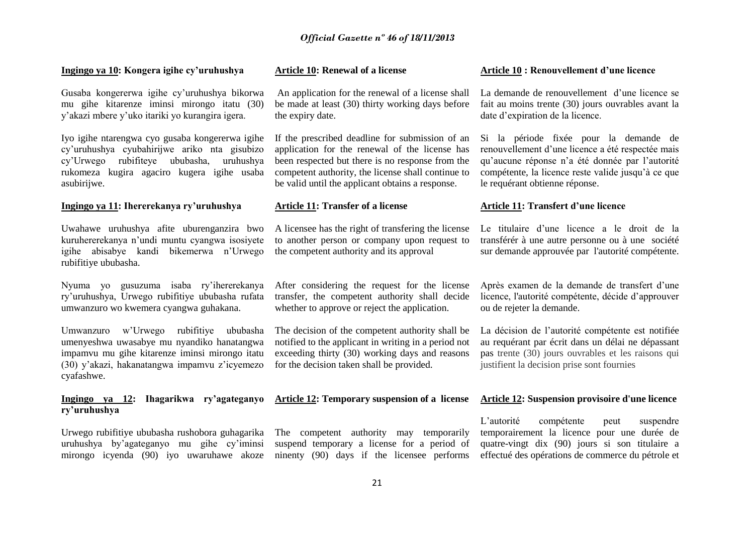#### **Ingingo ya 10: Kongera igihe cy'uruhushya**

Gusaba kongererwa igihe cy'uruhushya bikorwa mu gihe kitarenze iminsi mirongo itatu (30) y'akazi mbere y'uko itariki yo kurangira igera.

Iyo igihe ntarengwa cyo gusaba kongererwa igihe cy'uruhushya cyubahirijwe ariko nta gisubizo cy'Urwego rubifiteye ububasha, uruhushya rukomeza kugira agaciro kugera igihe usaba asubirijwe.

#### **Ingingo ya 11: Ihererekanya ry'uruhushya**

Uwahawe uruhushya afite uburenganzira bwo kuruhererekanya n'undi muntu cyangwa isosiyete igihe abisabye kandi bikemerwa n'Urwego rubifitiye ububasha.

Nyuma yo gusuzuma isaba ry'ihererekanya ry'uruhushya, Urwego rubifitiye ububasha rufata umwanzuro wo kwemera cyangwa guhakana.

Umwanzuro w'Urwego rubifitiye ububasha umenyeshwa uwasabye mu nyandiko hanatangwa impamvu mu gihe kitarenze iminsi mirongo itatu (30) y'akazi, hakanatangwa impamvu z'icyemezo cyafashwe.

# **Ingingo ya 12: Ihagarikwa ry'agateganyo ry'uruhushya**

Urwego rubifitiye ububasha rushobora guhagarika uruhushya by'agateganyo mu gihe cy'iminsi mirongo icyenda (90) iyo uwaruhawe akoze

#### **Article 10: Renewal of a license**

An application for the renewal of a license shall be made at least (30) thirty working days before the expiry date.

If the prescribed deadline for submission of an application for the renewal of the license has been respected but there is no response from the competent authority, the license shall continue to be valid until the applicant obtains a response.

#### **Article 11: Transfer of a license**

A licensee has the right of transfering the license to another person or company upon request to the competent authority and its approval

After considering the request for the license transfer, the competent authority shall decide whether to approve or reject the application.

The decision of the competent authority shall be notified to the applicant in writing in a period not exceeding thirty (30) working days and reasons for the decision taken shall be provided.

## **Article 12: Temporary suspension of a license**

The competent authority may temporarily suspend temporary a license for a period of ninenty (90) days if the licensee performs

#### **Article 10 : Renouvellement d'une licence**

La demande de renouvellement d'une licence se fait au moins trente (30) jours ouvrables avant la date d'expiration de la licence.

Si la période fixée pour la demande de renouvellement d'une licence a été respectée mais qu'aucune réponse n'a été donnée par l'autorité compétente, la licence reste valide jusqu'à ce que le requérant obtienne réponse.

#### **Article 11: Transfert d'une licence**

Le titulaire d'une licence a le droit de la transférér à une autre personne ou à une société sur demande approuvée par l'autorité compétente.

Après examen de la demande de transfert d'une licence, l'autorité compétente, décide d'approuver ou de rejeter la demande.

La décision de l'autorité compétente est notifiée au requérant par écrit dans un délai ne dépassant pas trente (30) jours ouvrables et les raisons qui justifient la decision prise sont fournies

#### **Article 12: Suspension provisoire d'une licence**

L'autorité compétente peut suspendre temporairement la licence pour une durée de quatre-vingt dix (90) jours si son titulaire a effectué des opérations de commerce du pétrole et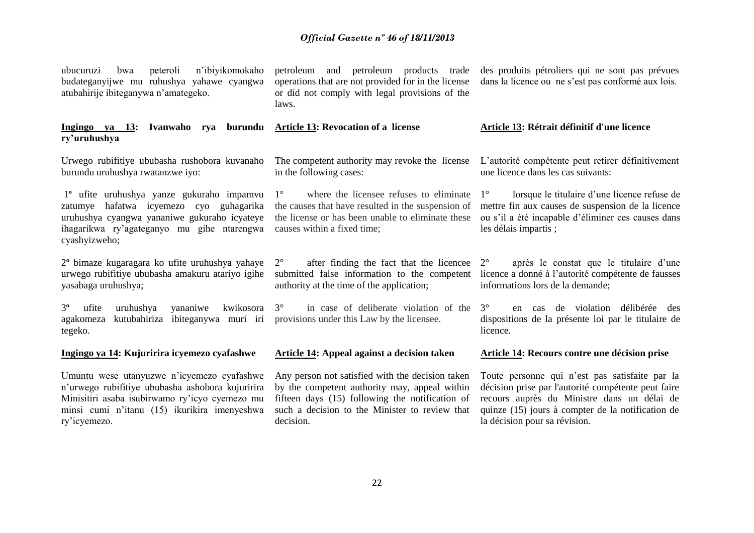| n'ibiyikomokaho<br>peteroli<br>ubucuruzi<br>bwa<br>budateganyijwe mu ruhushya yahawe cyangwa<br>atubahirije ibiteganywa n'amategeko.                                                                             | petroleum and petroleum products trade<br>operations that are not provided for in the license<br>or did not comply with legal provisions of the<br>laws.                                                            | des produits pétroliers qui ne sont pas prévues<br>dans la licence ou ne s'est pas conformé aux lois.                                                                                                                                      |
|------------------------------------------------------------------------------------------------------------------------------------------------------------------------------------------------------------------|---------------------------------------------------------------------------------------------------------------------------------------------------------------------------------------------------------------------|--------------------------------------------------------------------------------------------------------------------------------------------------------------------------------------------------------------------------------------------|
| Ingingo ya 13: Ivanwaho rya burundu Article 13: Revocation of a license<br>ry'uruhushya                                                                                                                          |                                                                                                                                                                                                                     | Article 13: Rétrait définitif d'une licence                                                                                                                                                                                                |
| Urwego rubifitiye ububasha rushobora kuvanaho<br>burundu uruhushya rwatanzwe iyo:                                                                                                                                | The competent authority may revoke the license<br>in the following cases:                                                                                                                                           | L'autorité compétente peut retirer définitivement<br>une licence dans les cas suivants:                                                                                                                                                    |
| 1 <sup>°</sup> ufite uruhushya yanze gukuraho impamvu<br>zatumye hafatwa icyemezo cyo guhagarika<br>uruhushya cyangwa yananiwe gukuraho icyateye<br>ihagarikwa ry'agateganyo mu gihe ntarengwa<br>cyashyizweho;  | where the licensee refuses to eliminate<br>$1^{\circ}$<br>the causes that have resulted in the suspension of<br>the license or has been unable to eliminate these<br>causes within a fixed time;                    | lorsque le titulaire d'une licence refuse de<br>$1^{\circ}$<br>mettre fin aux causes de suspension de la licence<br>ou s'il a été incapable d'éliminer ces causes dans<br>les délais impartis;                                             |
| 2 <sup>°</sup> bimaze kugaragara ko ufite uruhushya yahaye<br>urwego rubifitiye ububasha amakuru atariyo igihe<br>yasabaga uruhushya;                                                                            | after finding the fact that the licencee<br>$2^{\circ}$<br>submitted false information to the competent<br>authority at the time of the application;                                                                | après le constat que le titulaire d'une<br>$2^{\circ}$<br>licence a donné à l'autorité compétente de fausses<br>informations lors de la demande;                                                                                           |
| $3^{\circ}$<br>kwikosora<br>ufite<br>uruhushya<br>yananiwe<br>kutubahiriza<br>ibiteganywa muri iri<br>agakomeza<br>tegeko.                                                                                       | $3^\circ$<br>in case of deliberate violation of the<br>provisions under this Law by the licensee.                                                                                                                   | $3^\circ$<br>de violation délibérée des<br>en cas<br>dispositions de la présente loi par le titulaire de<br>licence.                                                                                                                       |
| Ingingo ya 14: Kujuririra icyemezo cyafashwe                                                                                                                                                                     | <b>Article 14: Appeal against a decision taken</b>                                                                                                                                                                  | <b>Article 14: Recours contre une décision prise</b>                                                                                                                                                                                       |
| Umuntu wese utanyuzwe n'icyemezo cyafashwe<br>n'urwego rubifitiye ububasha ashobora kujuririra<br>Minisitiri asaba isubirwamo ry'icyo cyemezo mu<br>minsi cumi n'itanu (15) ikurikira imenyeshwa<br>ry'icyemezo. | Any person not satisfied with the decision taken<br>by the competent authority may, appeal within<br>fifteen days (15) following the notification of<br>such a decision to the Minister to review that<br>decision. | Toute personne qui n'est pas satisfaite par la<br>décision prise par l'autorité compétente peut faire<br>recours auprès du Ministre dans un délai de<br>quinze (15) jours à compter de la notification de<br>la décision pour sa révision. |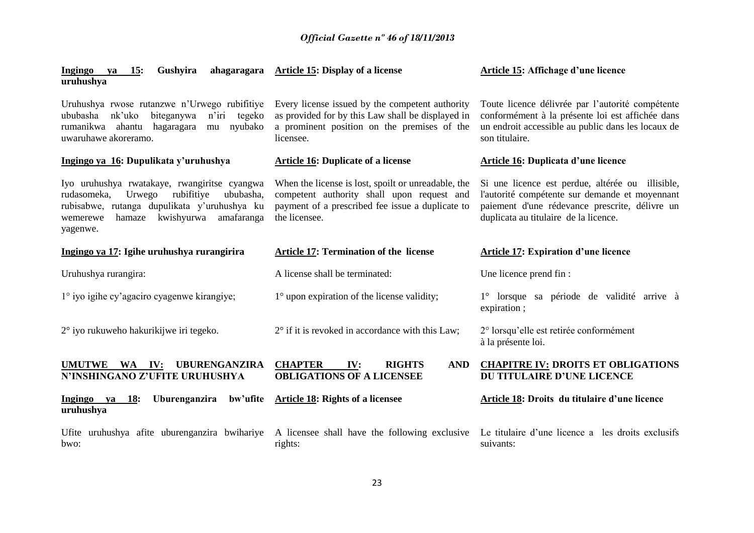| 15:<br>Gushyira<br>ahagaragara<br>Ingingo<br>ya<br>uruhushya                                                                                                                                                   | Article 15: Display of a license                                                                                                                                       | Article 15: Affichage d'une licence                                                                                                                                                           |
|----------------------------------------------------------------------------------------------------------------------------------------------------------------------------------------------------------------|------------------------------------------------------------------------------------------------------------------------------------------------------------------------|-----------------------------------------------------------------------------------------------------------------------------------------------------------------------------------------------|
| Uruhushya rwose rutanzwe n'Urwego rubifitiye<br>ububasha<br>nk'uko<br>biteganywa<br>$n'$ iri<br>tegeko<br>rumanikwa ahantu<br>hagaragara<br>nyubako<br>mu<br>uwaruhawe akoreramo.                              | Every license issued by the competent authority<br>as provided for by this Law shall be displayed in<br>a prominent position on the premises of the<br>licensee.       | Toute licence délivrée par l'autorité compétente<br>conformément à la présente loi est affichée dans<br>un endroit accessible au public dans les locaux de<br>son titulaire.                  |
| Ingingo ya 16: Dupulikata y'uruhushya                                                                                                                                                                          | <b>Article 16: Duplicate of a license</b>                                                                                                                              | <b>Article 16: Duplicata d'une licence</b>                                                                                                                                                    |
| Iyo uruhushya rwatakaye, rwangiritse cyangwa<br>rudasomeka,<br>rubifitiye<br>ububasha,<br>Urwego<br>rubisabwe, rutanga dupulikata y'uruhushya ku<br>kwishyurwa<br>hamaze<br>amafaranga<br>wemerewe<br>yagenwe. | When the license is lost, spoilt or unreadable, the<br>competent authority shall upon request and<br>payment of a prescribed fee issue a duplicate to<br>the licensee. | Si une licence est perdue, altérée ou illisible,<br>l'autorité compétente sur demande et moyennant<br>paiement d'une rédevance prescrite, délivre un<br>duplicata au titulaire de la licence. |
| Ingingo ya 17: Igihe uruhushya rurangirira                                                                                                                                                                     | <b>Article 17: Termination of the license</b>                                                                                                                          | <b>Article 17: Expiration d'une licence</b>                                                                                                                                                   |
| Uruhushya rurangira:                                                                                                                                                                                           | A license shall be terminated:                                                                                                                                         | Une licence prend fin:                                                                                                                                                                        |
| 1° iyo igihe cy'agaciro cyagenwe kirangiye;                                                                                                                                                                    | $1^\circ$ upon expiration of the license validity;                                                                                                                     | 1° lorsque sa période de validité arrive à<br>expiration;                                                                                                                                     |
| $2^{\circ}$ iyo rukuweho hakurikijwe iri tegeko.                                                                                                                                                               | $2^{\circ}$ if it is revoked in accordance with this Law;                                                                                                              | 2° lorsqu'elle est retirée conformément<br>à la présente loi.                                                                                                                                 |
| <b>UBURENGANZIRA</b><br><b>UMUTWE</b><br>WA<br>IV:<br>N'INSHINGANO Z'UFITE URUHUSHYA                                                                                                                           | <b>CHAPTER</b><br><b>RIGHTS</b><br><b>AND</b><br>IV:<br><b>OBLIGATIONS OF A LICENSEE</b>                                                                               | <b>CHAPITRE IV: DROITS ET OBLIGATIONS</b><br>DU TITULAIRE D'UNE LICENCE                                                                                                                       |
| Ingingo ya<br><b>18:</b><br>Uburenganzira<br>bw'ufite<br>uruhushya                                                                                                                                             | <b>Article 18: Rights of a licensee</b>                                                                                                                                | Article 18: Droits du titulaire d'une licence                                                                                                                                                 |
| Ufite uruhushya afite uburenganzira bwihariye<br>bwo:                                                                                                                                                          | A licensee shall have the following exclusive<br>rights:                                                                                                               | Le titulaire d'une licence a les droits exclusifs<br>suivants:                                                                                                                                |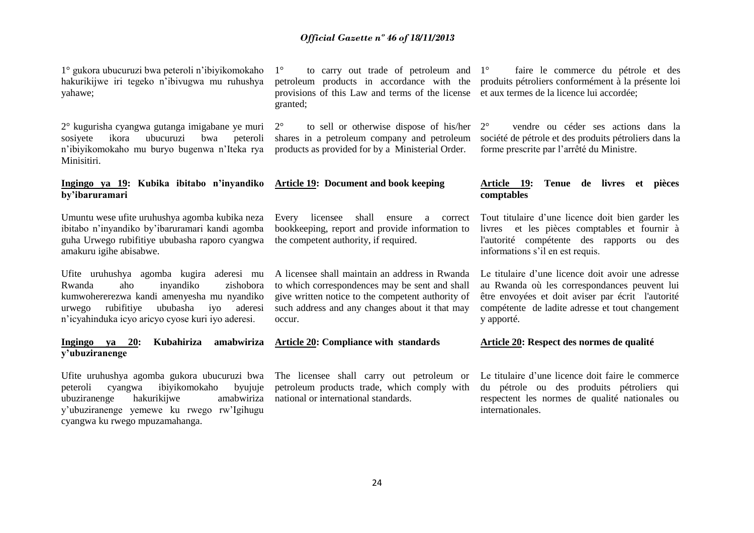1° gukora ubucuruzi bwa peteroli n'ibiyikomokaho hakurikijwe iri tegeko n'ibivugwa mu ruhushya yahawe;

2° kugurisha cyangwa gutanga imigabane ye muri sosiyete ikora ubucuruzi bwa peteroli n'ibiyikomokaho mu buryo bugenwa n'Iteka rya Minisitiri.

**Ingingo ya 19: Kubika ibitabo n'inyandiko by'ibaruramari**

Umuntu wese ufite uruhushya agomba kubika neza ibitabo n'inyandiko by'ibaruramari kandi agomba guha Urwego rubifitiye ububasha raporo cyangwa amakuru igihe abisabwe.

Ufite uruhushya agomba kugira aderesi mu Rwanda aho inyandiko zishobora kumwohererezwa kandi amenyesha mu nyandiko urwego rubifitiye ububasha iyo aderesi n'icyahinduka icyo aricyo cyose kuri iyo aderesi.

#### **Ingingo ya 20: Kubahiriza amabwiriza y'ubuziranenge Article 20: Compliance with standards**

Ufite uruhushya agomba gukora ubucuruzi bwa peteroli cyangwa ibiyikomokaho byujuje ubuziranenge hakurikijwe amabwiriza y'ubuziranenge yemewe ku rwego rw'Igihugu cyangwa ku rwego mpuzamahanga.

 $1^\circ$  to carry out trade of petroleum and  $1^\circ$ petroleum products in accordance with the provisions of this Law and terms of the license et aux termes de la licence lui accordée; granted;

 $2^{\circ}$  to sell or otherwise dispose of his/her  $2^{\circ}$ shares in a petroleum company and petroleum products as provided for by a Ministerial Order.

**Article 19: Document and book keeping** 

Every licensee shall ensure a correct bookkeeping, report and provide information to the competent authority, if required.

A licensee shall maintain an address in Rwanda to which correspondences may be sent and shall give written notice to the competent authority of such address and any changes about it that may occur.

The licensee shall carry out petroleum or petroleum products trade, which comply with national or international standards.

faire le commerce du pétrole et des produits pétroliers conformément à la présente loi

2° vendre ou céder ses actions dans la société de pétrole et des produits pétroliers dans la forme prescrite par l'arrêté du Ministre.

#### **Article 19: Tenue de livres et pièces comptables**

Tout titulaire d'une licence doit bien garder les livres et les pièces comptables et fournir à l'autorité compétente des rapports ou des informations s'il en est requis.

Le titulaire d'une licence doit avoir une adresse au Rwanda où les correspondances peuvent lui être envoyées et doit aviser par écrit l'autorité compétente de ladite adresse et tout changement y apporté.

#### **Article 20: Respect des normes de qualité**

Le titulaire d'une licence doit faire le commerce du pétrole ou des produits pétroliers qui respectent les normes de qualité nationales ou internationales.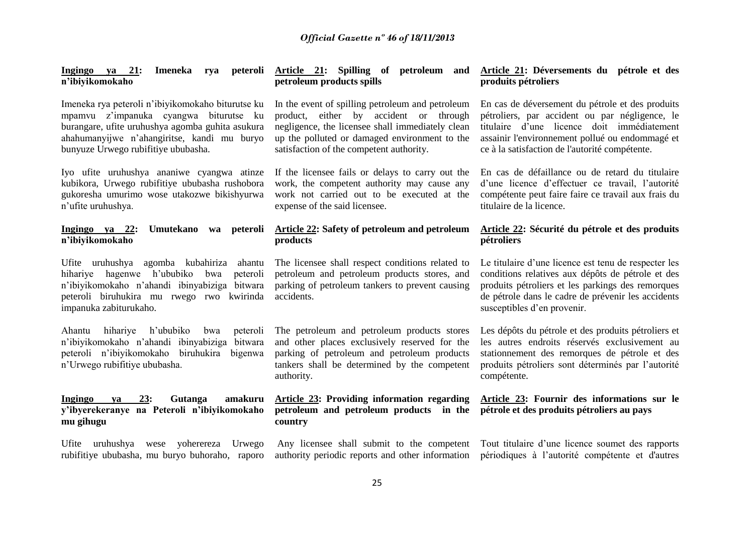**Ingingo ya 21: Imeneka rya peteroli Article 21: Spilling of petroleum and n'ibiyikomokaho**

Imeneka rya peteroli n'ibiyikomokaho biturutse ku mpamvu z'impanuka cyangwa biturutse ku burangare, ufite uruhushya agomba guhita asukura ahahumanyijwe n'ahangiritse, kandi mu buryo bunyuze Urwego rubifitiye ububasha.

Iyo ufite uruhushya ananiwe cyangwa atinze kubikora, Urwego rubifitiye ububasha rushobora gukoresha umurimo wose utakozwe bikishyurwa n'ufite uruhushya.

#### **Ingingo ya 22: Umutekano wa peteroli n'ibiyikomokaho**

Ufite uruhushya agomba kubahiriza ahantu hihariye hagenwe h'ububiko bwa peteroli n'ibiyikomokaho n'ahandi ibinyabiziga bitwara peteroli biruhukira mu rwego rwo kwirinda impanuka zabiturukaho.

Ahantu hihariye h'ububiko bwa peteroli n'ibiyikomokaho n'ahandi ibinyabiziga bitwara peteroli n'ibiyikomokaho biruhukira bigenwa n'Urwego rubifitiye ububasha.

## **Ingingo ya 23: Gutanga amakuru y'ibyerekeranye na Peteroli n'ibiyikomokaho mu gihugu**

Ufite uruhushya wese yoherereza Urwego rubifitiye ububasha, mu buryo buhoraho, raporo

# **petroleum products spills**

In the event of spilling petroleum and petroleum product, either by accident or through negligence, the licensee shall immediately clean up the polluted or damaged environment to the satisfaction of the competent authority.

If the licensee fails or delays to carry out the work, the competent authority may cause any work not carried out to be executed at the expense of the said licensee.

## **Article 22: Safety of petroleum and petroleum products**

The licensee shall respect conditions related to petroleum and petroleum products stores, and parking of petroleum tankers to prevent causing accidents.

The petroleum and petroleum products stores and other places exclusively reserved for the parking of petroleum and petroleum products tankers shall be determined by the competent authority.

#### **Article 23: Providing information regarding petroleum and petroleum products in the country**

#### **Article 21: Déversements du pétrole et des produits pétroliers**

En cas de déversement du pétrole et des produits pétroliers, par accident ou par négligence, le titulaire d'une licence doit immédiatement assainir l'environnement pollué ou endommagé et ce à la satisfaction de l'autorité compétente.

En cas de défaillance ou de retard du titulaire d'une licence d'effectuer ce travail, l'autorité compétente peut faire faire ce travail aux frais du titulaire de la licence.

#### **Article 22: Sécurité du pétrole et des produits pétroliers**

Le titulaire d'une licence est tenu de respecter les conditions relatives aux dépôts de pétrole et des produits pétroliers et les parkings des remorques de pétrole dans le cadre de prévenir les accidents susceptibles d'en provenir.

Les dépôts du pétrole et des produits pétroliers et les autres endroits réservés exclusivement au stationnement des remorques de pétrole et des produits pétroliers sont déterminés par l'autorité compétente.

## **Article 23: Fournir des informations sur le pétrole et des produits pétroliers au pays**

Any licensee shall submit to the competent Tout titulaire d'une licence soumet des rapports authority periodic reports and other information périodiques à l'autorité compétente et d'autres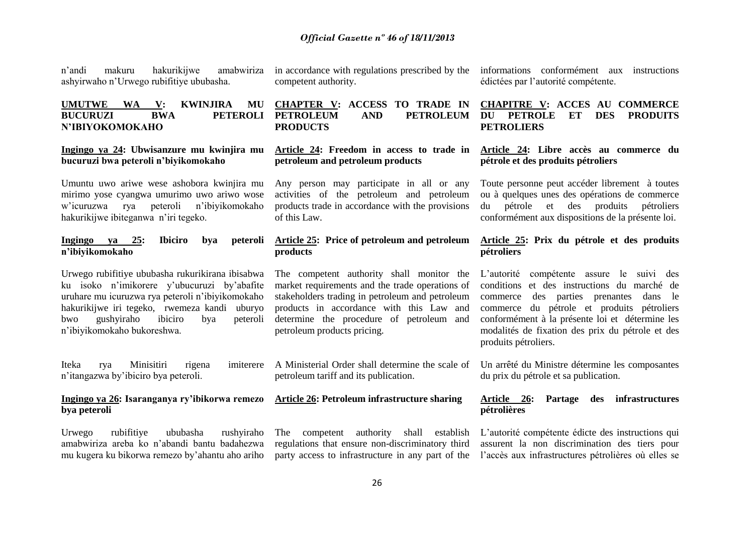n'andi makuru hakurikijwe amabwiriza ashyirwaho n'Urwego rubifitiye ububasha.

### **UMUTWE WA V: KWINJIRA MU BUCURUZI BWA PETEROLI N'IBIYOKOMOKAHO**

#### **Ingingo ya 24: Ubwisanzure mu kwinjira mu bucuruzi bwa peteroli n'biyikomokaho**

Umuntu uwo ariwe wese ashobora kwinjira mu mirimo yose cyangwa umurimo uwo ariwo wose w'icuruzwa rya peteroli n'ibiyikomokaho hakurikijwe ibiteganwa n'iri tegeko.

#### **Ingingo ya 25: Ibiciro bya peteroli n'ibiyikomokaho**

Urwego rubifitiye ububasha rukurikirana ibisabwa ku isoko n'imikorere y'ubucuruzi by'abafite uruhare mu icuruzwa rya peteroli n'ibiyikomokaho hakurikijwe iri tegeko, rwemeza kandi uburyo bwo gushyiraho ibiciro bya peteroli n'ibiyikomokaho bukoreshwa.

Iteka rya Minisitiri rigena imiterere n'itangazwa by'ibiciro bya peteroli.

#### **Ingingo ya 26: Isaranganya ry'ibikorwa remezo bya peteroli**

Urwego rubifitiye ububasha rushyiraho amabwiriza areba ko n'abandi bantu badahezwa mu kugera ku bikorwa remezo by'ahantu aho ariho in accordance with regulations prescribed by the competent authority.

## **CHAPTER V: ACCESS TO TRADE IN PETROLEUM AND PETROLEUM PRODUCTS**

## **Article 24: Freedom in access to trade in petroleum and petroleum products**

Any person may participate in all or any activities of the petroleum and petroleum products trade in accordance with the provisions of this Law.

## **Article 25: Price of petroleum and petroleum products**

The competent authority shall monitor the market requirements and the trade operations of stakeholders trading in petroleum and petroleum products in accordance with this Law and determine the procedure of petroleum and petroleum products pricing.

A Ministerial Order shall determine the scale of petroleum tariff and its publication.

# **Article 26: Petroleum infrastructure sharing**

The competent authority shall establish regulations that ensure non-discriminatory third

informations conformément aux instructions édictées par l'autorité compétente.

## **CHAPITRE V: ACCES AU COMMERCE DU PETROLE ET DES PRODUITS PETROLIERS**

## **Article 24: Libre accès au commerce du pétrole et des produits pétroliers**

Toute personne peut accéder librement à toutes ou à quelques unes des opérations de commerce du pétrole et des produits pétroliers conformément aux dispositions de la présente loi.

#### **Article 25: Prix du pétrole et des produits pétroliers**

L'autorité compétente assure le suivi des conditions et des instructions du marché de commerce des parties prenantes dans le commerce du pétrole et produits pétroliers conformément à la présente loi et détermine les modalités de fixation des prix du pétrole et des produits pétroliers.

Un arrêté du Ministre détermine les composantes du prix du pétrole et sa publication.

#### **Article 26: Partage des infrastructures pétrolières**

party access to infrastructure in any part of the l'accès aux infrastructures pétrolières où elles se L'autorité compétente édicte des instructions qui assurent la non discrimination des tiers pour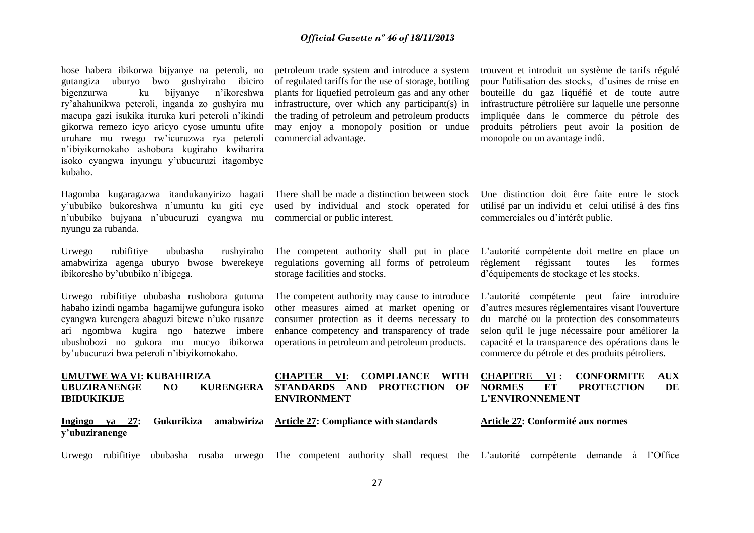hose habera ibikorwa bijyanye na peteroli, no gutangiza uburyo bwo gushyiraho ibiciro bigenzurwa ku bijyanye n'ikoreshwa ry'ahahunikwa peteroli, inganda zo gushyira mu macupa gazi isukika ituruka kuri peteroli n'ikindi gikorwa remezo icyo aricyo cyose umuntu ufite uruhare mu rwego rw'icuruzwa rya peteroli n'ibiyikomokaho ashobora kugiraho kwiharira isoko cyangwa inyungu y'ubucuruzi itagombye kubaho.

Hagomba kugaragazwa itandukanyirizo hagati y'ububiko bukoreshwa n'umuntu ku giti cye n'ububiko bujyana n'ubucuruzi cyangwa mu nyungu za rubanda.

Urwego rubifitiye ububasha rushyiraho amabwiriza agenga uburyo bwose bwerekeye ibikoresho by'ububiko n'ibigega.

Urwego rubifitiye ububasha rushobora gutuma habaho izindi ngamba hagamijwe gufungura isoko cyangwa kurengera abaguzi bitewe n'uko rusanze ari ngombwa kugira ngo hatezwe imbere ubushobozi no gukora mu mucyo ibikorwa by'ubucuruzi bwa peteroli n'ibiyikomokaho.

#### **UMUTWE WA VI: KUBAHIRIZA UBUZIRANENGE NO KURENGERA IBIDUKIKIJE**

**Ingingo ya 27: Gukurikiza amabwiriza Article 27: Compliance with standards y'ubuziranenge** 

petroleum trade system and introduce a system of regulated tariffs for the use of storage, bottling plants for liquefied petroleum gas and any other infrastructure, over which any participant(s) in the trading of petroleum and petroleum products may enjoy a monopoly position or undue commercial advantage.

There shall be made a distinction between stock used by individual and stock operated for commercial or public interest.

The competent authority shall put in place regulations governing all forms of petroleum storage facilities and stocks.

The competent authority may cause to introduce other measures aimed at market opening or consumer protection as it deems necessary to enhance competency and transparency of trade operations in petroleum and petroleum products.

**CHAPTER VI: COMPLIANCE WITH STANDARDS AND PROTECTION OF** 

**ENVIRONMENT**

trouvent et introduit un système de tarifs régulé pour l'utilisation des stocks, d'usines de mise en bouteille du gaz liquéfié et de toute autre infrastructure pétrolière sur laquelle une personne impliquée dans le commerce du pétrole des produits pétroliers peut avoir la position de monopole ou un avantage indû.

Une distinction doit être faite entre le stock utilisé par un individu et celui utilisé à des fins commerciales ou d'intérêt public.

L'autorité compétente doit mettre en place un règlement régissant toutes les formes d'équipements de stockage et les stocks.

L'autorité compétente peut faire introduire d'autres mesures réglementaires visant l'ouverture du marché ou la protection des consommateurs selon qu'il le juge nécessaire pour améliorer la capacité et la transparence des opérations dans le commerce du pétrole et des produits pétroliers.

#### **CHAPITRE VI : CONFORMITE AUX NORMES ET PROTECTION DE L'ENVIRONNEMENT**

**Article 27: Conformité aux normes** 

Urwego rubifitiye ububasha rusaba urwego The competent authority shall request the L'autorité compétente demande à l'Office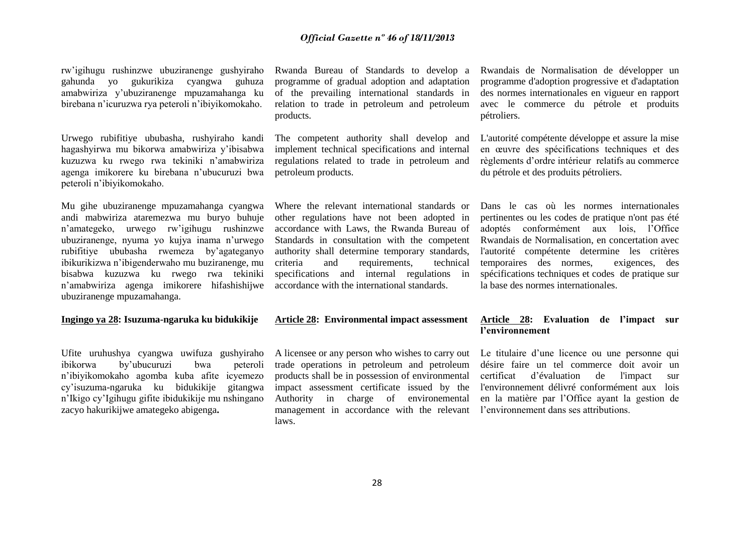rw'igihugu rushinzwe ubuziranenge gushyiraho gahunda yo gukurikiza cyangwa guhuza amabwiriza y'ubuziranenge mpuzamahanga ku birebana n'icuruzwa rya peteroli n'ibiyikomokaho.

Urwego rubifitiye ububasha, rushyiraho kandi hagashyirwa mu bikorwa amabwiriza y'ibisabwa kuzuzwa ku rwego rwa tekiniki n'amabwiriza agenga imikorere ku birebana n'ubucuruzi bwa peteroli n'ibiyikomokaho.

Mu gihe ubuziranenge mpuzamahanga cyangwa andi mabwiriza ataremezwa mu buryo buhuje n'amategeko, urwego rw'igihugu rushinzwe ubuziranenge, nyuma yo kujya inama n'urwego rubifitiye ububasha rwemeza by'agateganyo ibikurikizwa n'ibigenderwaho mu buziranenge, mu bisabwa kuzuzwa ku rwego rwa tekiniki n'amabwiriza agenga imikorere hifashishijwe ubuziranenge mpuzamahanga.

#### **Ingingo ya 28: Isuzuma-ngaruka ku bidukikije**

Ufite uruhushya cyangwa uwifuza gushyiraho ibikorwa by'ubucuruzi bwa peteroli n'ibiyikomokaho agomba kuba afite icyemezo cy'isuzuma-ngaruka ku bidukikije gitangwa n'Ikigo cy'Igihugu gifite ibidukikije mu nshingano zacyo hakurikijwe amategeko abigenga**.**

Rwanda Bureau of Standards to develop a programme of gradual adoption and adaptation of the prevailing international standards in relation to trade in petroleum and petroleum products.

The competent authority shall develop and implement technical specifications and internal regulations related to trade in petroleum and petroleum products.

Where the relevant international standards or other regulations have not been adopted in accordance with Laws, the Rwanda Bureau of Standards in consultation with the competent authority shall determine temporary standards, criteria and requirements, technical specifications and internal regulations in accordance with the international standards.

# **Article 28: Environmental impact assessment**

A licensee or any person who wishes to carry out trade operations in petroleum and petroleum products shall be in possession of environmental impact assessment certificate issued by the Authority in charge of environemental management in accordance with the relevant l'environnement dans ses attributions. laws.

Rwandais de Normalisation de développer un programme d'adoption progressive et d'adaptation des normes internationales en vigueur en rapport avec le commerce du pétrole et produits pétroliers.

L'autorité compétente développe et assure la mise en œuvre des spécifications techniques et des règlements d'ordre intérieur relatifs au commerce du pétrole et des produits pétroliers.

Dans le cas où les normes internationales pertinentes ou les codes de pratique n'ont pas été adoptés conformément aux lois, l'Office Rwandais de Normalisation, en concertation avec l'autorité compétente determine les critères temporaires des normes, exigences, des spécifications techniques et codes de pratique sur la base des normes internationales.

### **Article 28: Evaluation de l'impact sur l'environnement**

Le titulaire d'une licence ou une personne qui désire faire un tel commerce doit avoir un certificat d'évaluation de l'impact sur l'environnement délivré conformément aux lois en la matière par l'Office ayant la gestion de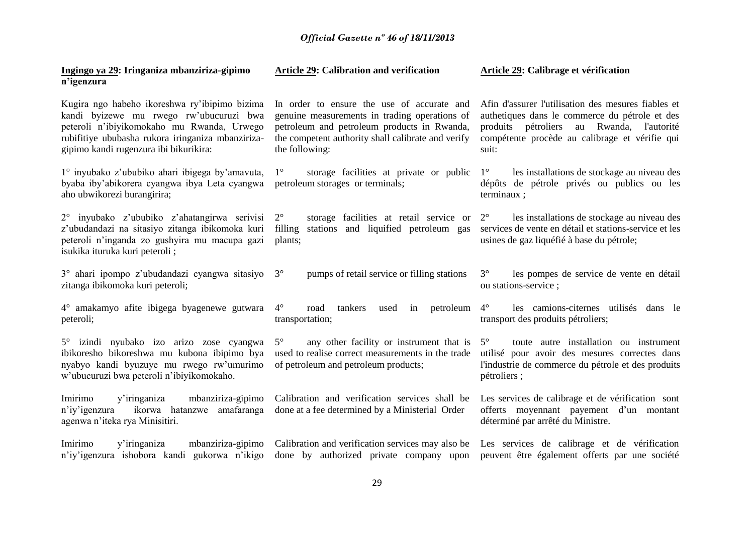| Ingingo ya 29: Iringaniza mbanziriza-gipimo<br>n'igenzura                                                                                                                                                                             | Article 29: Calibration and verification                                                                                                                                                                           | Article 29: Calibrage et vérification                                                                                                                                                                            |
|---------------------------------------------------------------------------------------------------------------------------------------------------------------------------------------------------------------------------------------|--------------------------------------------------------------------------------------------------------------------------------------------------------------------------------------------------------------------|------------------------------------------------------------------------------------------------------------------------------------------------------------------------------------------------------------------|
| Kugira ngo habeho ikoreshwa ry'ibipimo bizima<br>kandi byizewe mu rwego rw'ubucuruzi bwa<br>peteroli n'ibiyikomokaho mu Rwanda, Urwego<br>rubifitiye ububasha rukora iringaniza mbanziriza-<br>gipimo kandi rugenzura ibi bikurikira: | In order to ensure the use of accurate and<br>genuine measurements in trading operations of<br>petroleum and petroleum products in Rwanda,<br>the competent authority shall calibrate and verify<br>the following: | Afin d'assurer l'utilisation des mesures fiables et<br>authetiques dans le commerce du pétrole et des<br>produits pétroliers au Rwanda,<br>l'autorité<br>compétente procède au calibrage et vérifie qui<br>suit: |
| 1° inyubako z'ububiko ahari ibigega by'amavuta,<br>byaba iby'abikorera cyangwa ibya Leta cyangwa<br>aho ubwikorezi burangirira;                                                                                                       | $1^{\circ}$<br>storage facilities at private or public<br>petroleum storages or terminals;                                                                                                                         | $1^{\circ}$<br>les installations de stockage au niveau des<br>dépôts de pétrole privés ou publics ou les<br>terminaux;                                                                                           |
| 2° inyubako z'ububiko z'ahatangirwa serivisi<br>z'ubudandazi na sitasiyo zitanga ibikomoka kuri<br>peteroli n'inganda zo gushyira mu macupa gazi<br>isukika ituruka kuri peteroli;                                                    | $2^{\circ}$<br>storage facilities at retail service or<br>stations and liquified petroleum gas<br>filling<br>plants;                                                                                               | $2^{\circ}$<br>les installations de stockage au niveau des<br>services de vente en détail et stations-service et les<br>usines de gaz liquéfié à base du pétrole;                                                |
| 3° ahari ipompo z'ubudandazi cyangwa sitasiyo<br>zitanga ibikomoka kuri peteroli;                                                                                                                                                     | pumps of retail service or filling stations<br>$3^\circ$                                                                                                                                                           | $3^\circ$<br>les pompes de service de vente en détail<br>ou stations-service;                                                                                                                                    |
| 4° amakamyo afite ibigega byagenewe gutwara<br>peteroli;                                                                                                                                                                              | $4^\circ$<br>petroleum<br>tankers<br>road<br>used<br>in<br>transportation;                                                                                                                                         | $4^{\circ}$<br>les camions-citernes utilisés dans le<br>transport des produits pétroliers;                                                                                                                       |
| 5° izindi nyubako izo arizo zose cyangwa<br>ibikoresho bikoreshwa mu kubona ibipimo bya<br>nyabyo kandi byuzuye mu rwego rw'umurimo<br>w'ubucuruzi bwa peteroli n'ibiyikomokaho.                                                      | any other facility or instrument that is<br>$5^{\circ}$<br>used to realise correct measurements in the trade<br>of petroleum and petroleum products;                                                               | toute autre installation ou instrument<br>$5^{\circ}$<br>utilisé pour avoir des mesures correctes dans<br>l'industrie de commerce du pétrole et des produits<br>pétroliers;                                      |
| Imirimo<br>y'iringaniza<br>mbanziriza-gipimo<br>n'iy'igenzura ikorwa hatanzwe amafaranga<br>agenwa n'iteka rya Minisitiri.                                                                                                            | Calibration and verification services shall be<br>done at a fee determined by a Ministerial Order                                                                                                                  | Les services de calibrage et de vérification sont<br>offerts moyennant payement d'un montant<br>déterminé par arrêté du Ministre.                                                                                |
| Imirimo<br>y'iringaniza<br>mbanziriza-gipimo<br>n'iy'igenzura ishobora kandi gukorwa n'ikigo                                                                                                                                          | Calibration and verification services may also be<br>done by authorized private company upon                                                                                                                       | Les services de calibrage et de vérification<br>peuvent être également offerts par une société                                                                                                                   |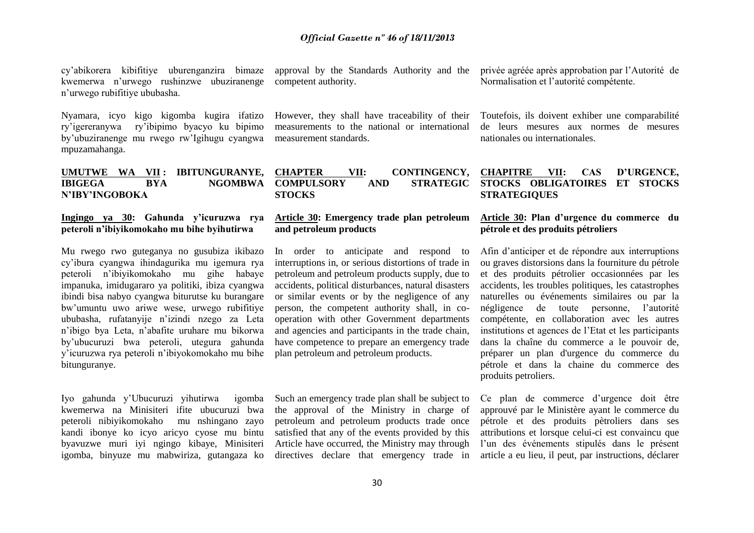cy'abikorera kibifitiye uburenganzira bimaze kwemerwa n'urwego rushinzwe ubuziranenge n'urwego rubifitiye ububasha.

Nyamara, icyo kigo kigomba kugira ifatizo ry'igereranywa ry'ibipimo byacyo ku bipimo by'ubuziranenge mu rwego rw'Igihugu cyangwa mpuzamahanga.

#### **UMUTWE WA VII : IBITUNGURANYE, IBIGEGA BYA NGOMBWA N'IBY'INGOBOKA**

#### **Ingingo ya 30: Gahunda y'icuruzwa rya peteroli n'ibiyikomokaho mu bihe byihutirwa**

Mu rwego rwo guteganya no gusubiza ikibazo cy'ibura cyangwa ihindagurika mu igemura rya peteroli n'ibiyikomokaho mu gihe habaye impanuka, imidugararo ya politiki, ibiza cyangwa ibindi bisa nabyo cyangwa biturutse ku burangare bw'umuntu uwo ariwe wese, urwego rubifitiye ububasha, rufatanyije n'izindi nzego za Leta n'ibigo bya Leta, n'abafite uruhare mu bikorwa by'ubucuruzi bwa peteroli, utegura gahunda y'icuruzwa rya peteroli n'ibiyokomokaho mu bihe bitunguranye.

Iyo gahunda y'Ubucuruzi yihutirwa igomba kwemerwa na Minisiteri ifite ubucuruzi bwa peteroli nibiyikomokaho mu nshingano zayo kandi ibonye ko icyo aricyo cyose mu bintu byavuzwe muri iyi ngingo kibaye, Minisiteri igomba, binyuze mu mabwiriza, gutangaza ko approval by the Standards Authority and the competent authority.

However, they shall have traceability of their measurements to the national or international measurement standards.

**CHAPTER VII: CONTINGENCY, COMPULSORY AND STRATEGIC STOCKS**

## **Article 30: Emergency trade plan petroleum and petroleum products**

In order to anticipate and respond to interruptions in, or serious distortions of trade in petroleum and petroleum products supply, due to accidents, political disturbances, natural disasters or similar events or by the negligence of any person, the competent authority shall, in cooperation with other Government departments and agencies and participants in the trade chain, have competence to prepare an emergency trade plan petroleum and petroleum products.

Such an emergency trade plan shall be subject to the approval of the Ministry in charge of petroleum and petroleum products trade once satisfied that any of the events provided by this Article have occurred, the Ministry may through directives declare that emergency trade in privée agréée après approbation par l'Autorité de Normalisation et l'autorité compétente.

Toutefois, ils doivent exhiber une comparabilité de leurs mesures aux normes de mesures nationales ou internationales.

#### **CHAPITRE VII: CAS D'URGENCE, STOCKS OBLIGATOIRES ET STOCKS STRATEGIQUES**

#### **Article 30: Plan d'urgence du commerce du pétrole et des produits pétroliers**

Afin d'anticiper et de répondre aux interruptions ou graves distorsions dans la fourniture du pétrole et des produits pétrolier occasionnées par les accidents, les troubles politiques, les catastrophes naturelles ou événements similaires ou par la négligence de toute personne, l'autorité compétente, en collaboration avec les autres institutions et agences de l'Etat et les participants dans la chaîne du commerce a le pouvoir de, préparer un plan d'urgence du commerce du pétrole et dans la chaine du commerce des produits petroliers.

Ce plan de commerce d'urgence doit être approuvé par le Ministère ayant le commerce du pétrole et des produits pètroliers dans ses attributions et lorsque celui-ci est convaincu que l'un des événements stipulés dans le présent article a eu lieu, il peut, par instructions, déclarer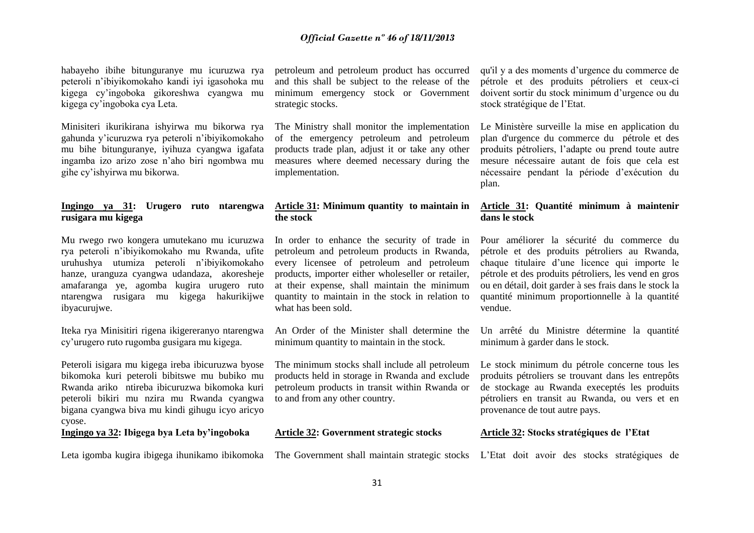habayeho ibihe bitunguranye mu icuruzwa rya peteroli n'ibiyikomokaho kandi iyi igasohoka mu kigega cy'ingoboka gikoreshwa cyangwa mu kigega cy'ingoboka cya Leta.

Minisiteri ikurikirana ishyirwa mu bikorwa rya gahunda y'icuruzwa rya peteroli n'ibiyikomokaho mu bihe bitunguranye, iyihuza cyangwa igafata ingamba izo arizo zose n'aho biri ngombwa mu gihe cy'ishyirwa mu bikorwa.

### **Ingingo ya 31: Urugero ruto ntarengwa rusigara mu kigega**

Mu rwego rwo kongera umutekano mu icuruzwa rya peteroli n'ibiyikomokaho mu Rwanda, ufite uruhushya utumiza peteroli n'ibiyikomokaho hanze, uranguza cyangwa udandaza, akoresheje amafaranga ye, agomba kugira urugero ruto ntarengwa rusigara mu kigega hakurikijwe ibyacurujwe.

Iteka rya Minisitiri rigena ikigereranyo ntarengwa cy'urugero ruto rugomba gusigara mu kigega.

Peteroli isigara mu kigega ireba ibicuruzwa byose bikomoka kuri peteroli bibitswe mu bubiko mu Rwanda ariko ntireba ibicuruzwa bikomoka kuri peteroli bikiri mu nzira mu Rwanda cyangwa bigana cyangwa biva mu kindi gihugu icyo aricyo cyose.

**Ingingo ya 32: Ibigega bya Leta by'ingoboka**

petroleum and petroleum product has occurred and this shall be subject to the release of the minimum emergency stock or Government strategic stocks.

The Ministry shall monitor the implementation of the emergency petroleum and petroleum products trade plan, adjust it or take any other measures where deemed necessary during the implementation.

### **Article 31: Minimum quantity to maintain in the stock**

In order to enhance the security of trade in petroleum and petroleum products in Rwanda, every licensee of petroleum and petroleum products, importer either wholeseller or retailer, at their expense, shall maintain the minimum quantity to maintain in the stock in relation to what has been sold.

An Order of the Minister shall determine the minimum quantity to maintain in the stock.

The minimum stocks shall include all petroleum products held in storage in Rwanda and exclude petroleum products in transit within Rwanda or to and from any other country.

#### **Article 32: Government strategic stocks**

Leta igomba kugira ibigega ihunikamo ibikomoka The Government shall maintain strategic stocks L'Etat doit avoir des stocks stratégiques de

qu'il y a des moments d'urgence du commerce de pétrole et des produits pétroliers et ceux-ci doivent sortir du stock minimum d'urgence ou du stock stratégique de l'Etat.

Le Ministère surveille la mise en application du plan d'urgence du commerce du pétrole et des produits pétroliers, l'adapte ou prend toute autre mesure nécessaire autant de fois que cela est nécessaire pendant la période d'exécution du plan.

### **Article 31: Quantité minimum à maintenir dans le stock**

Pour améliorer la sécurité du commerce du pétrole et des produits pétroliers au Rwanda, chaque titulaire d'une licence qui importe le pétrole et des produits pétroliers, les vend en gros ou en détail, doit garder à ses frais dans le stock la quantité minimum proportionnelle à la quantité vendue.

Un arrêté du Ministre détermine la quantité minimum à garder dans le stock.

Le stock minimum du pétrole concerne tous les produits pétroliers se trouvant dans les entrepôts de stockage au Rwanda execeptés les produits pétroliers en transit au Rwanda, ou vers et en provenance de tout autre pays.

#### **Article 32: Stocks stratégiques de l'Etat**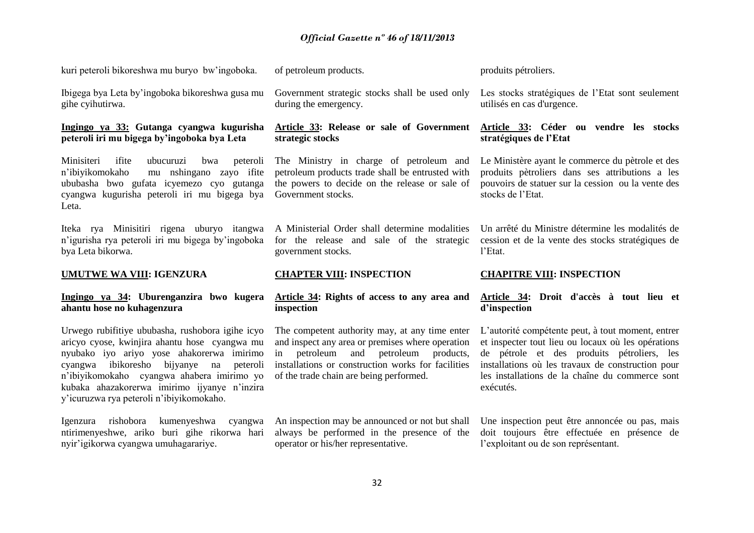kuri peteroli bikoreshwa mu buryo bw'ingoboka.

Ibigega bya Leta by'ingoboka bikoreshwa gusa mu gihe cyihutirwa.

#### **Ingingo ya 33: Gutanga cyangwa kugurisha peteroli iri mu bigega by'ingoboka bya Leta**

Minisiteri ifite ubucuruzi bwa peteroli n'ibiyikomokaho mu nshingano zayo ifite ububasha bwo gufata icyemezo cyo gutanga cyangwa kugurisha peteroli iri mu bigega bya Leta.

Iteka rya Minisitiri rigena uburyo itangwa n'igurisha rya peteroli iri mu bigega by'ingoboka bya Leta bikorwa.

## **UMUTWE WA VIII: IGENZURA**

# **Ingingo ya 34: Uburenganzira bwo kugera ahantu hose no kuhagenzura**

Urwego rubifitiye ububasha, rushobora igihe icyo aricyo cyose, kwinjira ahantu hose cyangwa mu nyubako iyo ariyo yose ahakorerwa imirimo cyangwa ibikoresho bijyanye na peteroli n'ibiyikomokaho cyangwa ahabera imirimo yo kubaka ahazakorerwa imirimo ijyanye n'inzira y'icuruzwa rya peteroli n'ibiyikomokaho.

Igenzura rishobora kumenyeshwa cyangwa ntirimenyeshwe, ariko buri gihe rikorwa hari nyir'igikorwa cyangwa umuhagarariye.

of petroleum products.

Government strategic stocks shall be used only during the emergency.

## **Article 33: Release or sale of Government strategic stocks**

The Ministry in charge of petroleum and petroleum products trade shall be entrusted with the powers to decide on the release or sale of Government stocks.

A Ministerial Order shall determine modalities for the release and sale of the strategic government stocks.

# **CHAPTER VIII: INSPECTION**

#### **Article 34: Rights of access to any area and inspection**

The competent authority may, at any time enter and inspect any area or premises where operation in petroleum and petroleum products, installations or construction works for facilities of the trade chain are being performed.

An inspection may be announced or not but shall always be performed in the presence of the operator or his/her representative.

produits pétroliers.

Les stocks stratégiques de l'Etat sont seulement utilisés en cas d'urgence.

**Article 33: Céder ou vendre les stocks stratégiques de l'Etat**

Le Ministère ayant le commerce du pètrole et des produits pètroliers dans ses attributions a les pouvoirs de statuer sur la cession ou la vente des stocks de l'Etat.

Un arrêté du Ministre détermine les modalités de cession et de la vente des stocks stratégiques de l'Etat.

## **CHAPITRE VIII: INSPECTION**

**Article 34: Droit d'accès à tout lieu et d'inspection** 

L'autorité compétente peut, à tout moment, entrer et inspecter tout lieu ou locaux où les opérations de pétrole et des produits pétroliers, les installations où les travaux de construction pour les installations de la chaîne du commerce sont exécutés.

Une inspection peut être annoncée ou pas, mais doit toujours être effectuée en présence de l'exploitant ou de son représentant.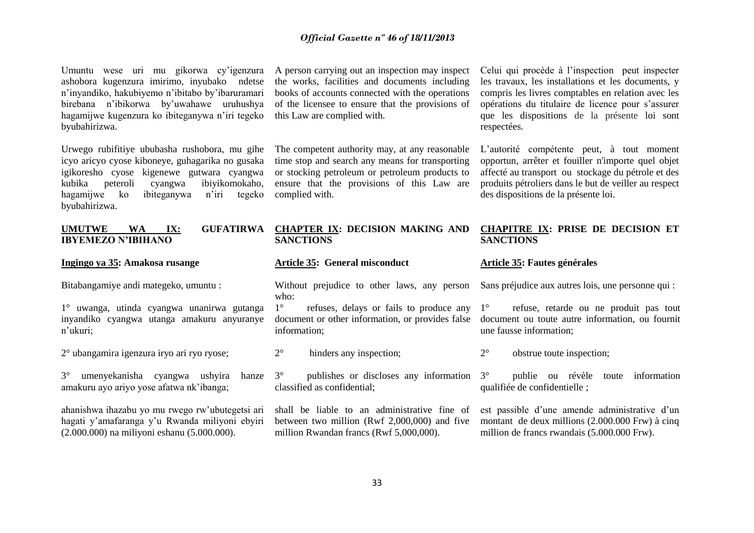Umuntu wese uri mu gikorwa cy'igenzura ashobora kugenzura imirimo, inyubako ndetse n'inyandiko, hakubiyemo n'ibitabo by'ibaruramari birebana n'ibikorwa by'uwahawe uruhushya hagamijwe kugenzura ko ibiteganywa n'iri tegeko byubahirizwa.

Urwego rubifitiye ububasha rushobora, mu gihe icyo aricyo cyose kiboneye, guhagarika no gusaka igikoresho cyose kigenewe gutwara cyangwa kubika peteroli cyangwa ibiyikomokaho, hagamijwe ko ibiteganywa n'iri tegeko byubahirizwa.

A person carrying out an inspection may inspect the works, facilities and documents including books of accounts connected with the operations of the licensee to ensure that the provisions of this Law are complied with.

The competent authority may, at any reasonable time stop and search any means for transporting or stocking petroleum or petroleum products to ensure that the provisions of this Law are complied with.

Celui qui procède à l'inspection peut inspecter les travaux, les installations et les documents, y compris les livres comptables en relation avec les opérations du titulaire de licence pour s'assurer que les dispositions de la présente loi sont respectées.

L'autorité compétente peut, à tout moment opportun, arrêter et fouiller n'importe quel objet affecté au transport ou stockage du pétrole et des produits pétroliers dans le but de veiller au respect des dispositions de la présente loi.

| <b>WA</b><br>$\mathbf{IX:}$<br><b>GUFATIRWA</b><br><b>UMUTWE</b><br><b>IBYEMEZO N'IBIHANO</b> | <b>SANCTIONS</b>               | CHAPTER IX: DECISION MAKING AND CHAPITRE IX: PRISE DE DECISION ET<br><b>SANCTIONS</b>          |
|-----------------------------------------------------------------------------------------------|--------------------------------|------------------------------------------------------------------------------------------------|
| Ingingo ya 35: Amakosa rusange                                                                | Article 35: General misconduct | Article 35: Fautes générales                                                                   |
| Bitabangamiye andi mategeko, umuntu:                                                          | who:                           | Without prejudice to other laws, any person Sans préjudice aux autres lois, une personne qui : |

1° uwanga, utinda cyangwa unanirwa gutanga inyandiko cyangwa utanga amakuru anyuranye n'ukuri;

2° ubangamira igenzura iryo ari ryo ryose;

3° umenyekanisha cyangwa ushyira hanze amakuru ayo ariyo yose afatwa nk'ibanga;

ahanishwa ihazabu yo mu rwego rw'ubutegetsi ari hagati y'amafaranga y'u Rwanda miliyoni ebyiri (2.000.000) na miliyoni eshanu (5.000.000).

1° refuses, delays or fails to produce any 1° document or other information, or provides false information;

2° hinders any inspection;

3° publishes or discloses any information classified as confidential;

shall be liable to an administrative fine of between two million (Rwf 2,000,000) and five million Rwandan francs (Rwf 5,000,000).

1° refuse, retarde ou ne produit pas tout document ou toute autre information, ou fournit une fausse information;

2° obstrue toute inspection;

3° publie ou révèle toute information qualifiée de confidentielle ;

est passible d'une amende administrative d'un montant de deux millions (2.000.000 Frw) à cinq million de francs rwandais (5.000.000 Frw).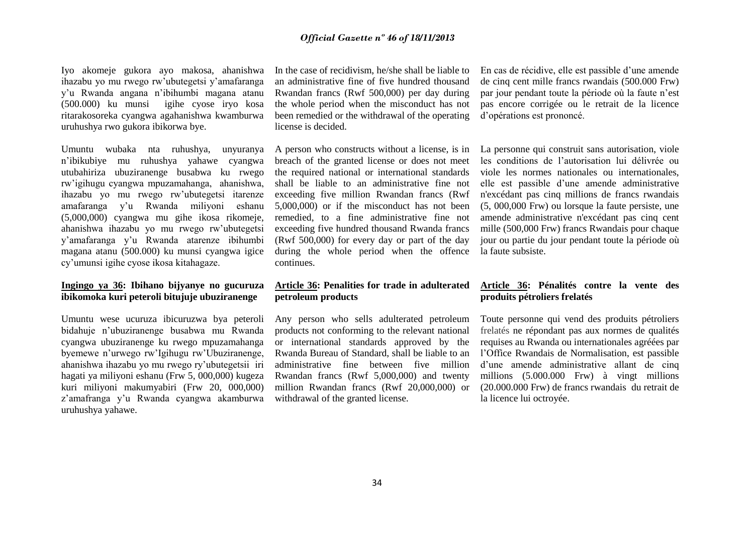Iyo akomeje gukora ayo makosa, ahanishwa ihazabu yo mu rwego rw'ubutegetsi y'amafaranga y'u Rwanda angana n'ibihumbi magana atanu (500.000) ku munsi igihe cyose iryo kosa ritarakosoreka cyangwa agahanishwa kwamburwa uruhushya rwo gukora ibikorwa bye.

Umuntu wubaka nta ruhushya, unyuranya n'ibikubiye mu ruhushya yahawe cyangwa utubahiriza ubuziranenge busabwa ku rwego rw'igihugu cyangwa mpuzamahanga, ahanishwa, ihazabu yo mu rwego rw'ubutegetsi itarenze amafaranga y'u Rwanda miliyoni eshanu (5,000,000) cyangwa mu gihe ikosa rikomeje, ahanishwa ihazabu yo mu rwego rw'ubutegetsi y'amafaranga y'u Rwanda atarenze ibihumbi magana atanu (500.000) ku munsi cyangwa igice cy'umunsi igihe cyose ikosa kitahagaze.

## **Ingingo ya 36: Ibihano bijyanye no gucuruza ibikomoka kuri peteroli bitujuje ubuziranenge**

Umuntu wese ucuruza ibicuruzwa bya peteroli bidahuje n'ubuziranenge busabwa mu Rwanda cyangwa ubuziranenge ku rwego mpuzamahanga byemewe n'urwego rw'Igihugu rw'Ubuziranenge, ahanishwa ihazabu yo mu rwego ry'ubutegetsii iri hagati ya miliyoni eshanu (Frw 5, 000,000) kugeza kuri miliyoni makumyabiri (Frw 20, 000,000) z'amafranga y'u Rwanda cyangwa akamburwa uruhushya yahawe.

In the case of recidivism, he/she shall be liable to an administrative fine of five hundred thousand Rwandan francs (Rwf 500,000) per day during the whole period when the misconduct has not been remedied or the withdrawal of the operating license is decided.

A person who constructs without a license, is in breach of the granted license or does not meet the required national or international standards shall be liable to an administrative fine not exceeding five million Rwandan francs (Rwf 5,000,000) or if the misconduct has not been remedied, to a fine administrative fine not exceeding five hundred thousand Rwanda francs (Rwf 500,000) for every day or part of the day during the whole period when the offence continues.

## **Article 36: Penalities for trade in adulterated petroleum products**

Any person who sells adulterated petroleum products not conforming to the relevant national or international standards approved by the Rwanda Bureau of Standard, shall be liable to an administrative fine between five million Rwandan francs (Rwf 5,000,000) and twenty million Rwandan francs (Rwf 20,000,000) or withdrawal of the granted license.

En cas de récidive, elle est passible d'une amende de cinq cent mille francs rwandais (500.000 Frw) par jour pendant toute la période où la faute n'est pas encore corrigée ou le retrait de la licence d'opérations est prononcé.

La personne qui construit sans autorisation, viole les conditions de l'autorisation lui délivrée ou viole les normes nationales ou internationales, elle est passible d'une amende administrative n'excédant pas cinq millions de francs rwandais (5, 000,000 Frw) ou lorsque la faute persiste, une amende administrative n'excédant pas cinq cent mille (500,000 Frw) francs Rwandais pour chaque jour ou partie du jour pendant toute la période où la faute subsiste.

# **Article 36: Pénalités contre la vente des produits pétroliers frelatés**

Toute personne qui vend des produits pétroliers frelatés ne répondant pas aux normes de qualités requises au Rwanda ou internationales agréées par l'Office Rwandais de Normalisation, est passible d'une amende administrative allant de cinq millions (5.000.000 Frw) à vingt millions (20.000.000 Frw) de francs rwandais du retrait de la licence lui octroyée.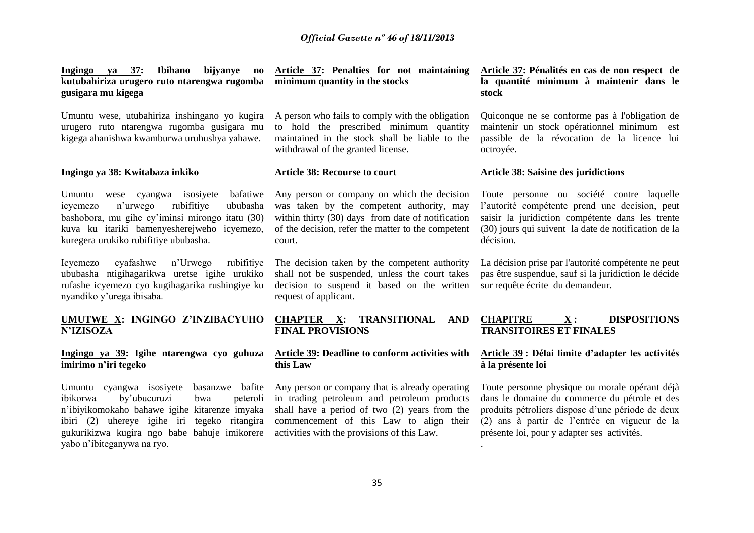**Ingingo ya 37: Ibihano bijyanye no kutubahiriza urugero ruto ntarengwa rugomba gusigara mu kigega** 

Umuntu wese, utubahiriza inshingano yo kugira urugero ruto ntarengwa rugomba gusigara mu kigega ahanishwa kwamburwa uruhushya yahawe.

#### **Ingingo ya 38: Kwitabaza inkiko**

Umuntu wese cyangwa isosiyete bafatiwe icyemezo n'urwego rubifitiye ububasha bashobora, mu gihe cy'iminsi mirongo itatu (30) kuva ku itariki bamenyesherejweho icyemezo, kuregera urukiko rubifitiye ububasha.

Icyemezo cyafashwe n'Urwego rubifitiye ububasha ntigihagarikwa uretse igihe urukiko rufashe icyemezo cyo kugihagarika rushingiye ku nyandiko y'urega ibisaba.

# **N'IZISOZA**

### **Ingingo ya 39: Igihe ntarengwa cyo guhuza imirimo n'iri tegeko**

Umuntu cyangwa isosiyete basanzwe bafite ibikorwa by'ubucuruzi bwa peteroli n'ibiyikomokaho bahawe igihe kitarenze imyaka ibiri (2) uhereye igihe iri tegeko ritangira gukurikizwa kugira ngo babe bahuje imikorere yabo n'ibiteganywa na ryo.

**Article 37: Penalties for not maintaining minimum quantity in the stocks** 

A person who fails to comply with the obligation to hold the prescribed minimum quantity maintained in the stock shall be liable to the withdrawal of the granted license.

#### **Article 38: Recourse to court**

Any person or company on which the decision was taken by the competent authority, may within thirty (30) days from date of notification of the decision, refer the matter to the competent court.

The decision taken by the competent authority shall not be suspended, unless the court takes decision to suspend it based on the written request of applicant.

#### **UMUTWE X: INGINGO Z'INZIBACYUHO CHAPTER X: TRANSITIONAL AND FINAL PROVISIONS**

#### **Article 39: Deadline to conform activities with this Law**

Any person or company that is already operating in trading petroleum and petroleum products shall have a period of two (2) years from the commencement of this Law to align their activities with the provisions of this Law.

**Article 37: Pénalités en cas de non respect de la quantité minimum à maintenir dans le stock** 

Quiconque ne se conforme pas à l'obligation de maintenir un stock opérationnel minimum est passible de la révocation de la licence lui octroyée.

#### **Article 38: Saisine des juridictions**

Toute personne ou société contre laquelle l'autorité compétente prend une decision, peut saisir la juridiction compétente dans les trente (30) jours qui suivent la date de notification de la décision.

La décision prise par l'autorité compétente ne peut pas être suspendue, sauf si la juridiction le décide sur requête écrite du demandeur.

## **CHAPITRE X : DISPOSITIONS TRANSITOIRES ET FINALES**

### **Article 39 : Délai limite d'adapter les activités à la présente loi**

Toute personne physique ou morale opérant déjà dans le domaine du commerce du pétrole et des produits pétroliers dispose d'une période de deux (2) ans à partir de l'entrée en vigueur de la présente loi, pour y adapter ses activités.

.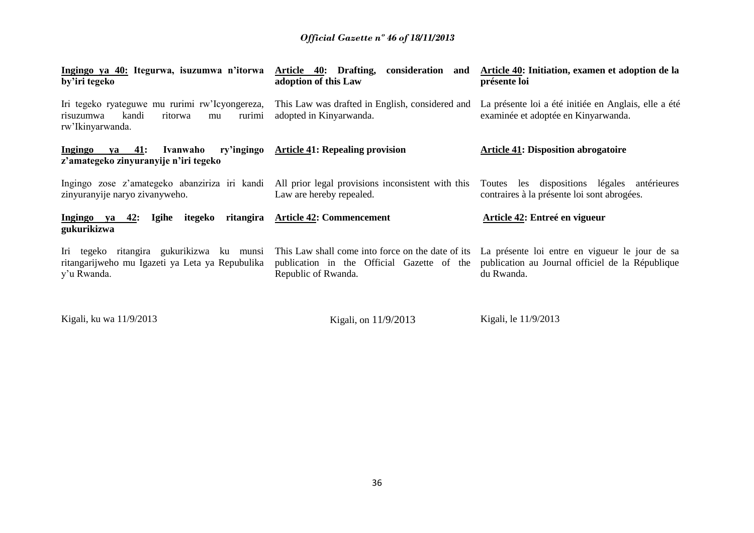| Ingingo ya 40: Itegurwa, isuzumwa n'itorwa<br>by'iri tegeko                                                         | Article 40: Drafting, consideration and<br>adoption of this Law               | Article 40: Initiation, examen et adoption de la<br>présente loi                                                                                                   |
|---------------------------------------------------------------------------------------------------------------------|-------------------------------------------------------------------------------|--------------------------------------------------------------------------------------------------------------------------------------------------------------------|
| Iri tegeko ryateguwe mu rurimi rw'Icyongereza,<br>kandi<br>ritorwa<br>risuzumwa<br>rurimi<br>mu<br>rw'Ikinyarwanda. | This Law was drafted in English, considered and<br>adopted in Kinyarwanda.    | La présente loi a été initiée en Anglais, elle a été<br>examinée et adoptée en Kinyarwanda.                                                                        |
| ry'ingingo<br>$ya$ 41:<br>Ivanwaho<br>Ingingo<br>z'amategeko zinyuranyije n'iri tegeko                              | <b>Article 41: Repealing provision</b>                                        | <b>Article 41: Disposition abrogatoire</b>                                                                                                                         |
| Ingingo zose z'amategeko abanziriza iri kandi<br>zinyuranyije naryo zivanyweho.                                     | All prior legal provisions inconsistent with this<br>Law are hereby repealed. | Toutes les dispositions légales antérieures<br>contraires à la présente loi sont abrogées.                                                                         |
| itegeko<br>Ingingo ya 42:<br>Igihe<br>gukurikizwa                                                                   | ritangira Article 42: Commencement                                            | Article 42: Entreé en vigueur                                                                                                                                      |
| Iri tegeko ritangira gukurikizwa ku munsi<br>ritangarijweho mu Igazeti ya Leta ya Repubulika<br>y'u Rwanda.         | publication in the Official Gazette of the<br>Republic of Rwanda.             | This Law shall come into force on the date of its La présente loi entre en vigueur le jour de sa<br>publication au Journal officiel de la République<br>du Rwanda. |

Kigali, ku wa 11/9/2013 Kigali, on 11/9/2013 Kigali, le 11/9/2013